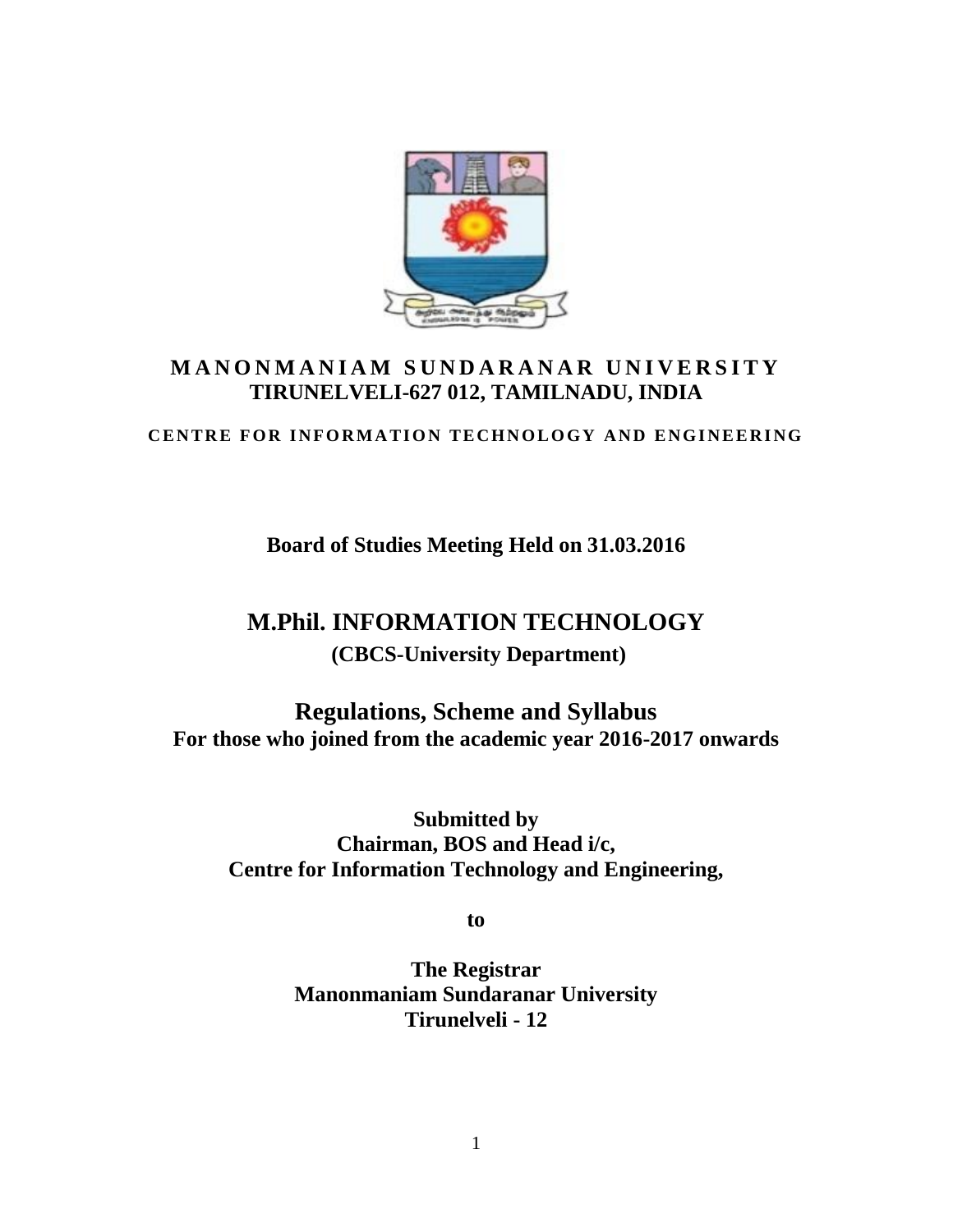

# M A N O N M A N I A M SUND A R A N A R UNIVERSITY **TIRUNELVELI-627 012, TAMILNADU, INDIA CENTRE FOR INFORMATION TECHNOLOGY AND ENGINEERING**<br>CENTRE FOR INFORMATION TECHNOLOGY AND ENGINEERING

**Board of Studies Meeting Held on 31.03.2016**

# **M.Phil. INFORMATION TECHNOLOGY (CBCS-University Department)**

**Regulations, Scheme and Syllabus For those who joined from the academic year 2016-2017 onwards**

**Submitted by Chairman, BOS and Head i/c, Centre for Information Technology and Engineering,**

**to**

**The Registrar Manonmaniam Sundaranar University Tirunelveli - 12**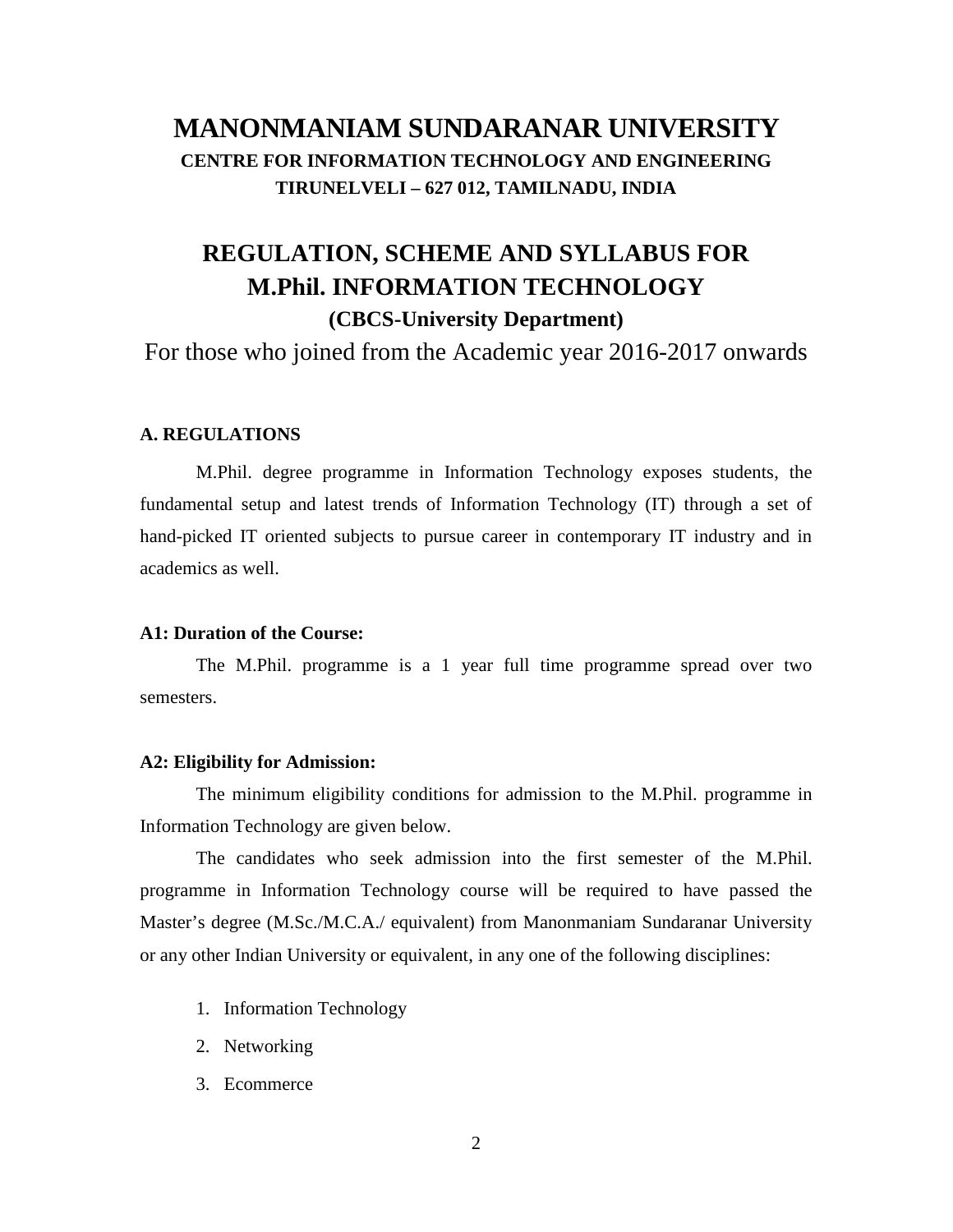# **MANONMANIAM SUNDARANAR UNIVERSITY CENTRE FOR INFORMATION TECHNOLOGY AND ENGINEERING TIRUNELVELI – 627 012, TAMILNADU, INDIA**

# **REGULATION, SCHEME AND SYLLABUS FOR M.Phil. INFORMATION TECHNOLOGY (CBCS-University Department)**

For those who joined from the Academic year 2016-2017 onwards

#### **A. REGULATIONS**

M.Phil. degree programme in Information Technology exposes students, the fundamental setup and latest trends of Information Technology (IT) through a set of hand-picked IT oriented subjects to pursue career in contemporary IT industry and in academics as well.

#### **A1: Duration of the Course:**

The M.Phil. programme is a 1 year full time programme spread over two semesters.

#### **A2: Eligibility for Admission:**

The minimum eligibility conditions for admission to the M.Phil. programme in Information Technology are given below.

The candidates who seek admission into the first semester of the M.Phil. programme in Information Technology course will be required to have passed the Master's degree (M.Sc./M.C.A./ equivalent) from Manonmaniam Sundaranar University or any other Indian University or equivalent, in any one of the following disciplines:

- 1. Information Technology
- 2. Networking
- 3. Ecommerce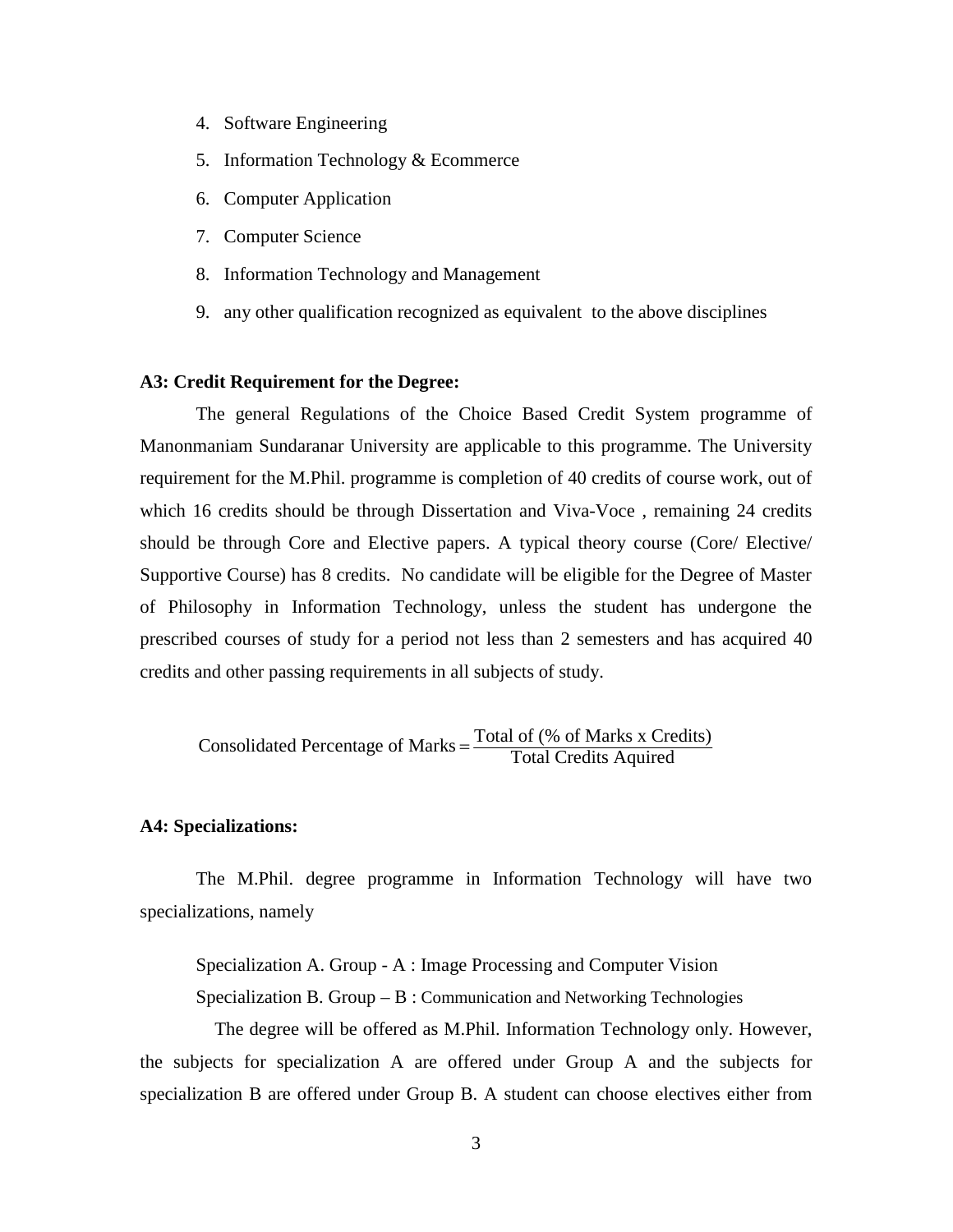- 4. Software Engineering
- 5. Information Technology & Ecommerce
- 6. Computer Application
- 7. Computer Science
- 8. Information Technology and Management
- 9. any other qualification recognized as equivalent to the above disciplines

#### **A3: Credit Requirement for the Degree:**

The general Regulations of the Choice Based Credit System programme of Manonmaniam Sundaranar University are applicable to this programme. The University requirement for the M.Phil. programme is completion of 40 credits of course work, out of which 16 credits should be through Dissertation and Viva-Voce , remaining 24 credits should be through Core and Elective papers. A typical theory course (Core/ Elective/ Supportive Course) has 8 credits. No candidate will be eligible for the Degree of Master of Philosophy in Information Technology, unless the student has undergone the prescribed courses of study for a period not less than 2 semesters and has acquired 40 credits and other passing requirements in all subjects of study.

Consolidated Percentage of Marks  $=$   $\frac{\text{Total of } (\% \text{ of Marks } x \text{ Credits})}{\text{Total Credits} \text{ Aquired}}$ 

#### **A4: Specializations:**

The M.Phil. degree programme in Information Technology will have two specializations, namely

Specialization A. Group - A : Image Processing and Computer Vision

Specialization B. Group  $-B$ : Communication and Networking Technologies

The degree will be offered as M.Phil. Information Technology only. However, the subjects for specialization A are offered under Group A and the subjects for specialization B are offered under Group B. A student can choose electives either from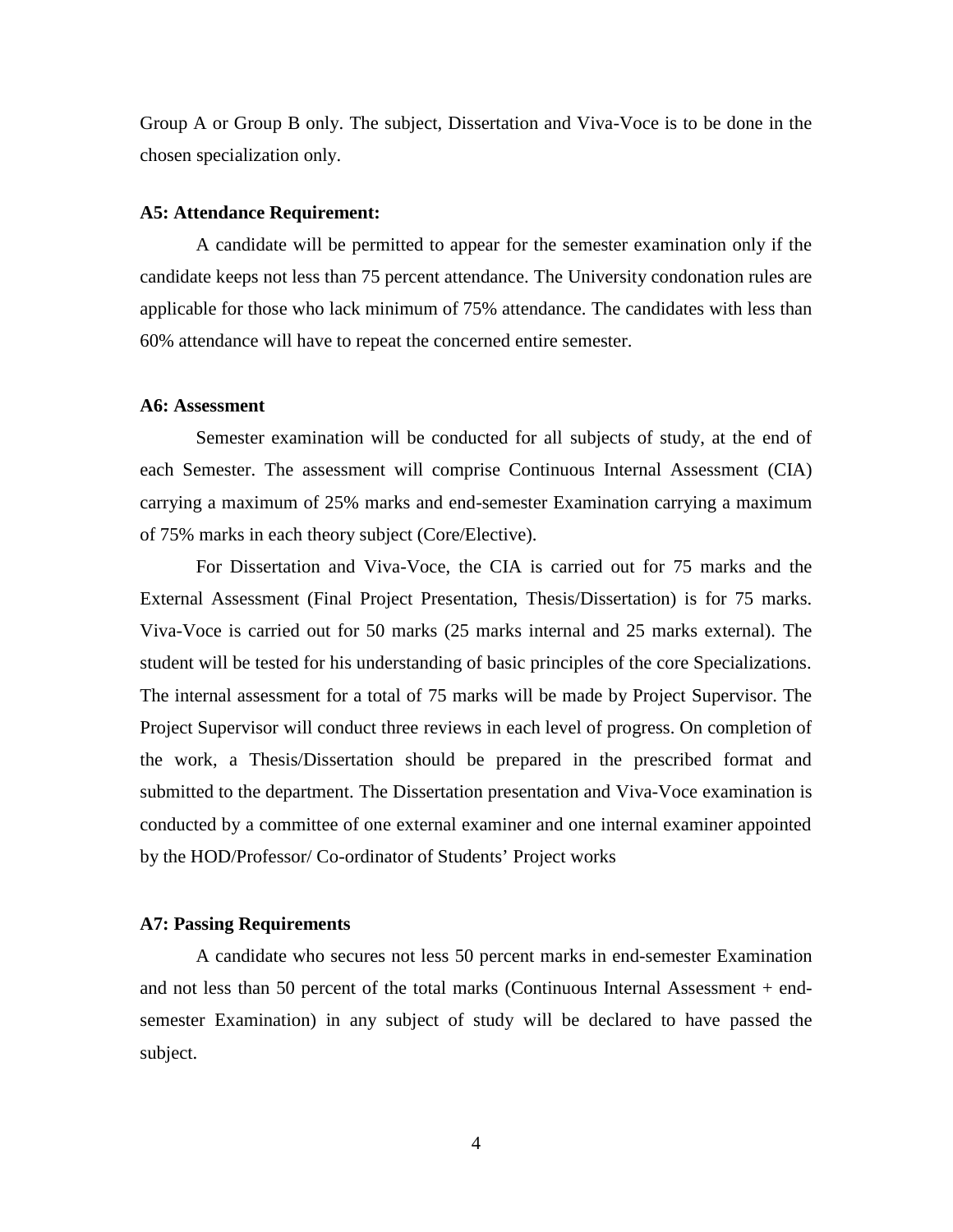Group A or Group B only. The subject, Dissertation and Viva-Voce is to be done in the chosen specialization only.

#### **A5: Attendance Requirement:**

A candidate will be permitted to appear for the semester examination only if the candidate keeps not less than 75 percent attendance. The University condonation rules are applicable for those who lack minimum of 75% attendance. The candidates with less than 60% attendance will have to repeat the concerned entire semester.

#### **A6: Assessment**

Semester examination will be conducted for all subjects of study, at the end of each Semester. The assessment will comprise Continuous Internal Assessment (CIA) carrying a maximum of 25% marks and end-semester Examination carrying a maximum of 75% marks in each theory subject (Core/Elective).

For Dissertation and Viva-Voce, the CIA is carried out for 75 marks and the External Assessment (Final Project Presentation, Thesis/Dissertation) is for 75 marks. Viva-Voce is carried out for 50 marks (25 marks internal and 25 marks external). The student will be tested for his understanding of basic principles of the core Specializations. The internal assessment for a total of 75 marks will be made by Project Supervisor. The Project Supervisor will conduct three reviews in each level of progress. On completion of the work, a Thesis/Dissertation should be prepared in the prescribed format and submitted to the department. The Dissertation presentation and Viva-Voce examination is conducted by a committee of one external examiner and one internal examiner appointed by the HOD/Professor/ Co-ordinator of Students' Project works

#### **A7: Passing Requirements**

A candidate who secures not less 50 percent marks in end-semester Examination and not less than 50 percent of the total marks (Continuous Internal Assessment + end semester Examination) in any subject of study will be declared to have passed the subject.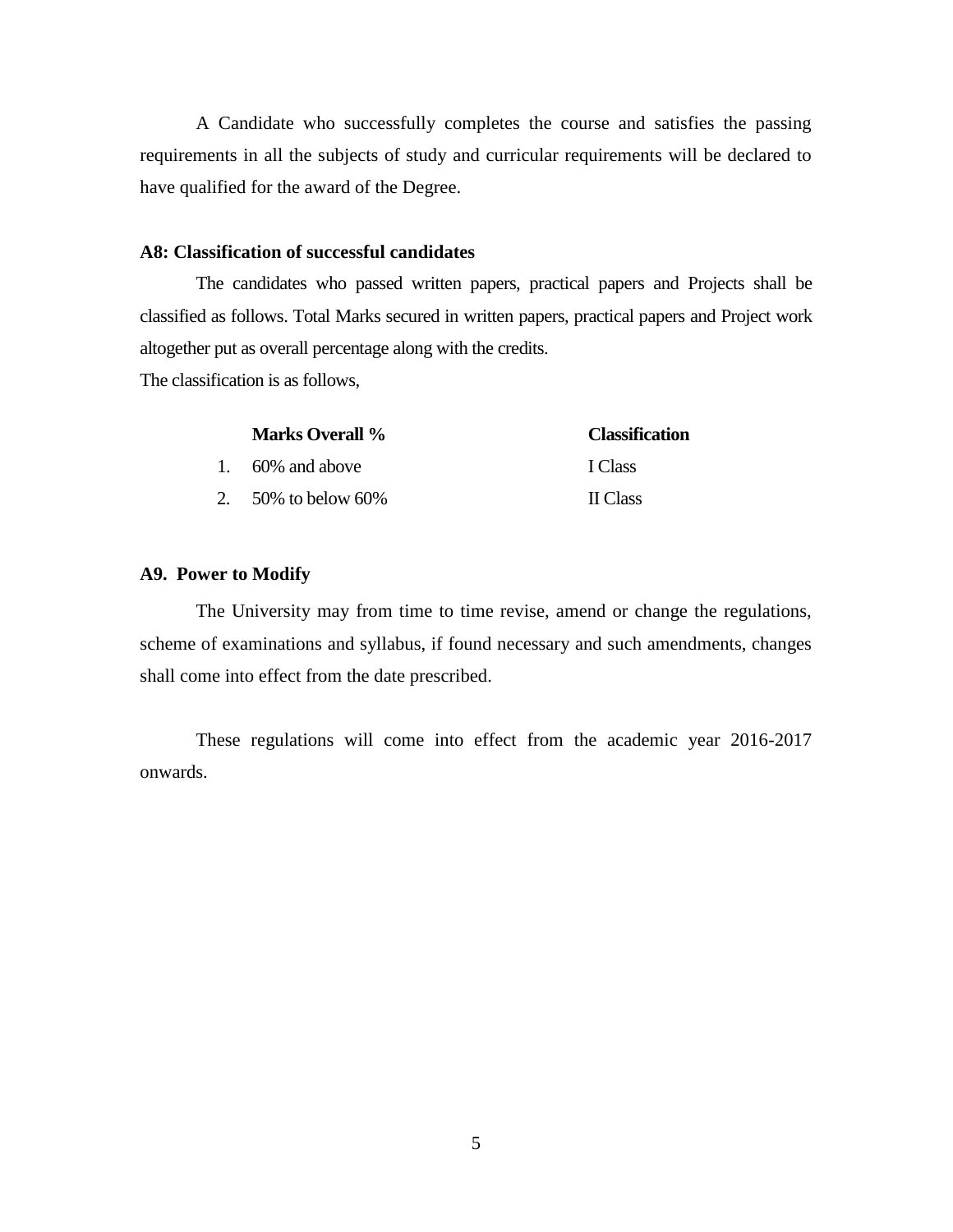A Candidate who successfully completes the course and satisfies the passing requirements in all the subjects of study and curricular requirements will be declared to have qualified for the award of the Degree.

#### **A8: Classification of successful candidates**

The candidates who passed written papers, practical papers and Projects shall be classified as follows. Total Marks secured in written papers, practical papers and Project work altogether put as overall percentage along with the credits.

The classification is as follows,

| <b>Marks Overall %</b> | <b>Classification</b> |
|------------------------|-----------------------|
| 1. $60\%$ and above    | I Class               |
| 2. $50\%$ to below 60% | <b>II</b> Class       |

#### **A9. Power to Modify**

The University may from time to time revise, amend or change the regulations, scheme of examinations and syllabus, if found necessary and such amendments, changes shall come into effect from the date prescribed.

These regulations will come into effect from the academic year 2016-2017 onwards.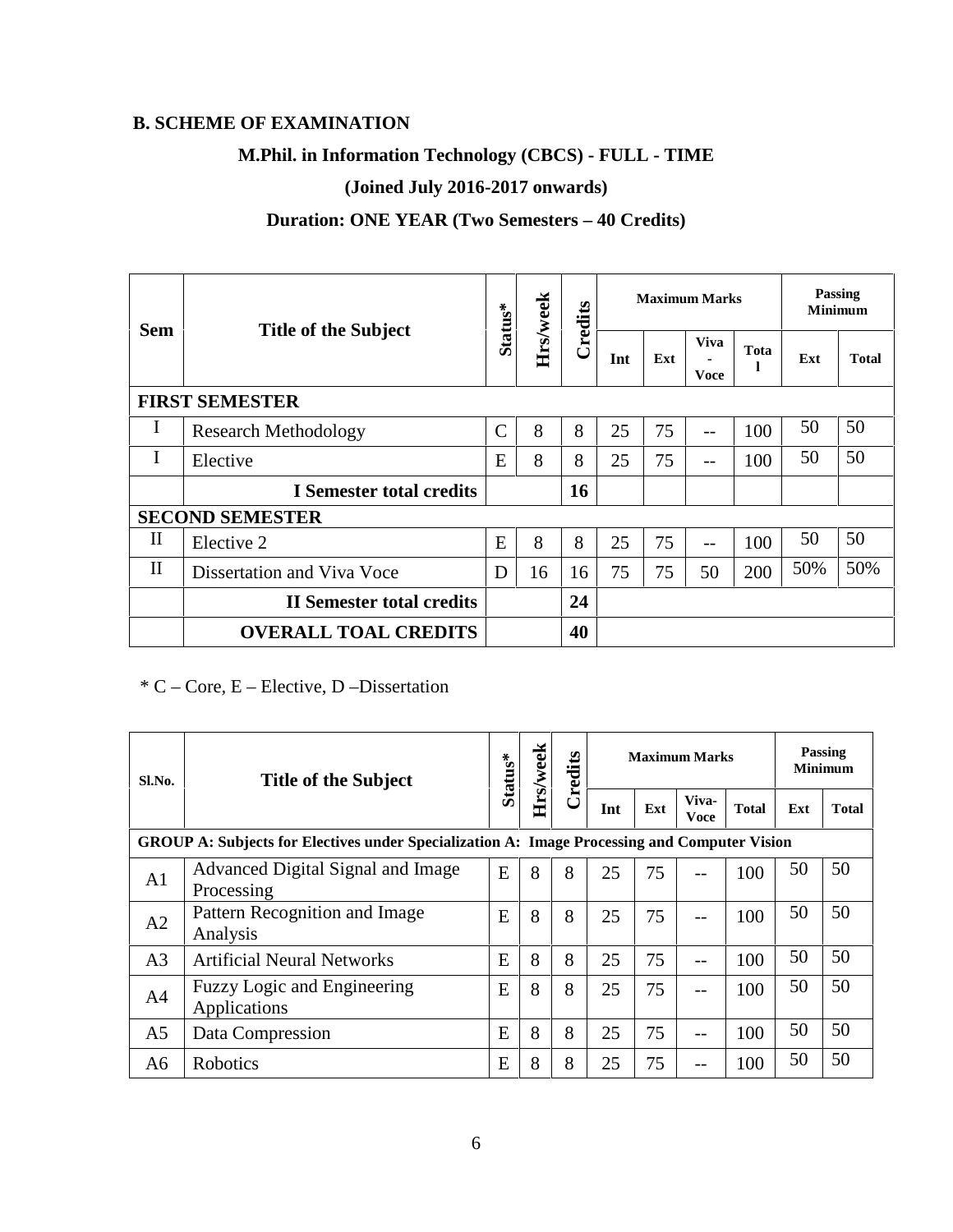# **B. SCHEME OF EXAMINATION**

# **M.Phil. in Information Technology (CBCS) - FULL - TIME**

# **(Joined July 2016-2017 onwards)**

# **Duration: ONE YEAR (Two Semesters – 40 Credits)**

|              |                                  |               |          |         | <b>Maximum Marks</b> |     |                     |            | <b>Passing</b><br><b>Minimum</b> |              |
|--------------|----------------------------------|---------------|----------|---------|----------------------|-----|---------------------|------------|----------------------------------|--------------|
| <b>Sem</b>   | <b>Title of the Subject</b>      | Status*       | Hrs/week | Credits | Int                  | Ext | <b>Viva</b><br>Voce | Tota<br>-1 | Ext                              | <b>Total</b> |
|              | <b>FIRST SEMESTER</b>            |               |          |         |                      |     |                     |            |                                  |              |
| I            | <b>Research Methodology</b>      | $\mathcal{C}$ | 8        | 8       | 25                   | 75  | $---$               | 100        | 50                               | 50           |
| I            | Elective                         | E             | 8        | 8       | 25                   | 75  | $-$                 | 100        | 50                               | 50           |
|              | I Semester total credits         |               |          | 16      |                      |     |                     |            |                                  |              |
|              | <b>SECOND SEMESTER</b>           |               |          |         |                      |     |                     |            |                                  |              |
| $\mathbf{I}$ | Elective 2                       | E             | 8        | 8       | 25                   | 75  | $-$                 | 100        | 50                               | 50           |
| $\mathbf{I}$ | Dissertation and Viva Voce       | D             | 16       | 16      | 75                   | 75  | 50                  | 200        | 50%                              | 50%          |
|              | <b>II Semester total credits</b> |               |          | 24      |                      |     |                     |            |                                  |              |
|              | <b>OVERALL TOAL CREDITS</b>      |               |          | 40      |                      |     |                     |            |                                  |              |

# $*$  C – Core, E – Elective, D – Dissertation

| Sl.No.         | <b>Title of the Subject</b>                                                                  | Status* |   | Hrs/week<br>Credits |     |     | <b>Maximum Marks</b> | <b>Passing</b><br><b>Minimum</b> |     |              |  |  |  |  |
|----------------|----------------------------------------------------------------------------------------------|---------|---|---------------------|-----|-----|----------------------|----------------------------------|-----|--------------|--|--|--|--|
|                |                                                                                              |         |   |                     | Int | Ext | Viva-<br><b>Voce</b> | <b>Total</b>                     | Ext | <b>Total</b> |  |  |  |  |
|                | GROUP A: Subjects for Electives under Specialization A: Image Processing and Computer Vision |         |   |                     |     |     |                      |                                  |     |              |  |  |  |  |
| A <sub>1</sub> | Advanced Digital Signal and Image<br>Processing                                              | E       | 8 | 8                   | 25  | 75  |                      | 100                              | 50  | 50           |  |  |  |  |
| A <sub>2</sub> | Pattern Recognition and Image<br>Analysis                                                    | E       | 8 | 8                   | 25  | 75  |                      | 100                              | 50  | 50           |  |  |  |  |
| A <sub>3</sub> | <b>Artificial Neural Networks</b>                                                            | E       | 8 | 8                   | 25  | 75  | $ -$                 | 100                              | 50  | 50           |  |  |  |  |
| A <sub>4</sub> | <b>Fuzzy Logic and Engineering</b><br>Applications                                           | E       | 8 | 8                   | 25  | 75  | --                   | 100                              | 50  | 50           |  |  |  |  |
| A <sub>5</sub> | Data Compression                                                                             | E       | 8 | 8                   | 25  | 75  | --                   | 100                              | 50  | 50           |  |  |  |  |
| A6             | Robotics                                                                                     | E       | 8 | 8                   | 25  | 75  |                      | 100                              | 50  | 50           |  |  |  |  |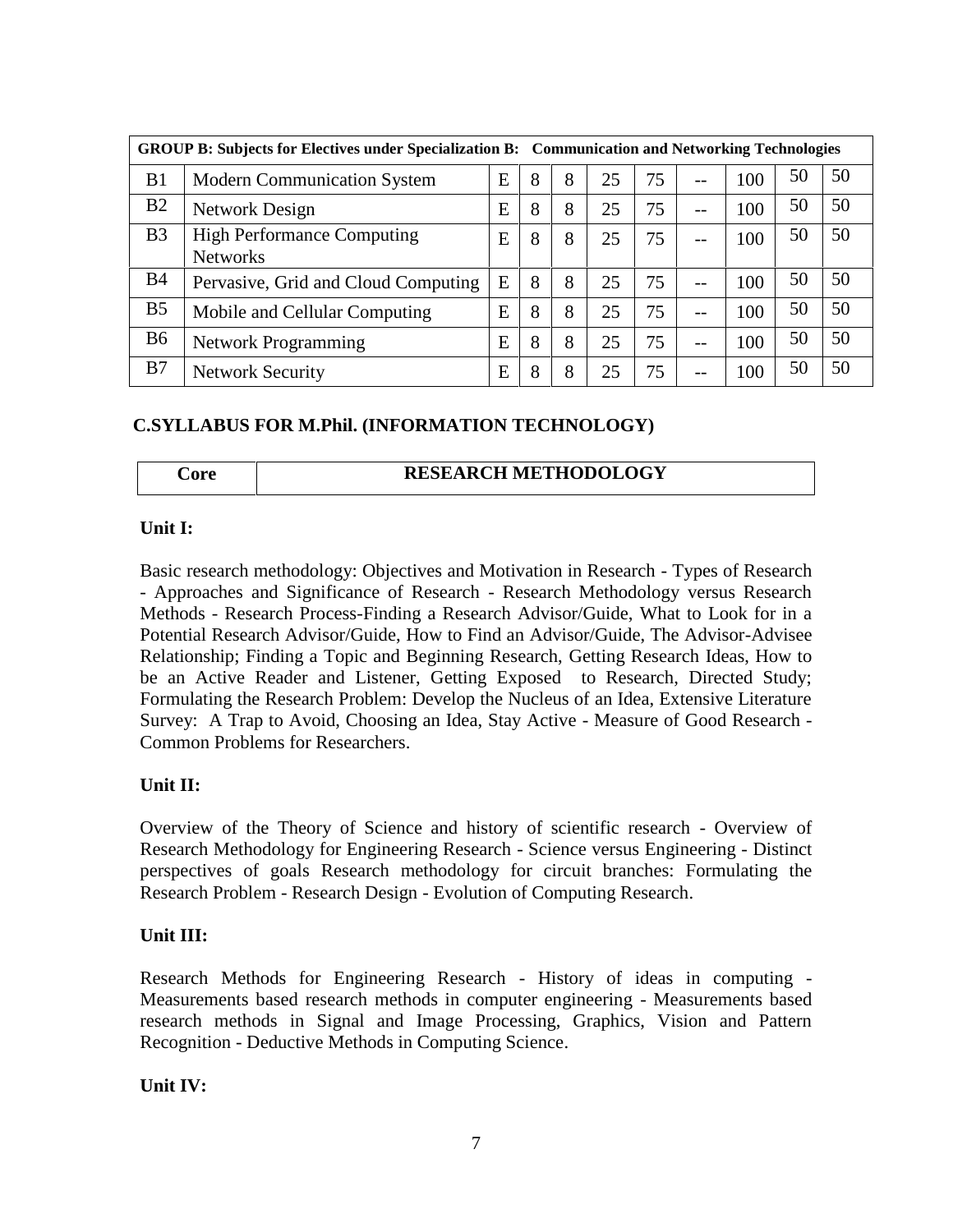| <b>GROUP B: Subjects for Electives under Specialization B:</b> Communication and Networking Technologies |                                                      |   |   |   |    |    |       |     |    |    |
|----------------------------------------------------------------------------------------------------------|------------------------------------------------------|---|---|---|----|----|-------|-----|----|----|
| B1                                                                                                       | <b>Modern Communication System</b>                   | E | 8 | 8 | 25 | 75 | $-$   | 100 | 50 | 50 |
| B <sub>2</sub>                                                                                           | Network Design                                       | E | 8 | 8 | 25 | 75 | $-$   | 100 | 50 | 50 |
| B <sub>3</sub>                                                                                           | <b>High Performance Computing</b><br><b>Networks</b> | E | 8 | 8 | 25 | 75 | $- -$ | 100 | 50 | 50 |
| <b>B4</b>                                                                                                | Pervasive, Grid and Cloud Computing                  | E | 8 | 8 | 25 | 75 | $- -$ | 100 | 50 | 50 |
| B <sub>5</sub>                                                                                           | Mobile and Cellular Computing                        | E | 8 | 8 | 25 | 75 | $- -$ | 100 | 50 | 50 |
| <b>B6</b>                                                                                                | <b>Network Programming</b>                           | Ε | 8 | 8 | 25 | 75 | $- -$ | 100 | 50 | 50 |
| B7                                                                                                       | <b>Network Security</b>                              | E | 8 | 8 | 25 | 75 | --    | 100 | 50 | 50 |

#### **C.SYLLABUS FOR M.Phil. (INFORMATION TECHNOLOGY)**

#### **Core RESEARCH METHODOLOGY**

#### **Unit I:**

Basic research methodology: Objectives and Motivation in Research - Types of Research - Approaches and Significance of Research - Research Methodology versus Research Methods - Research Process-Finding a Research Advisor/Guide, What to Look for in a Potential Research Advisor/Guide, How to Find an Advisor/Guide, The Advisor-Advisee Relationship; Finding a Topic and Beginning Research, Getting Research Ideas, How to be an Active Reader and Listener, Getting Exposed to Research, Directed Study; Formulating the Research Problem: Develop the Nucleus of an Idea, Extensive Literature Survey: A Trap to Avoid, Choosing an Idea, Stay Active - Measure of Good Research - Common Problems for Researchers.

# **Unit II:**

Overview of the Theory of Science and history of scientific research - Overview of Research Methodology for Engineering Research - Science versus Engineering - Distinct perspectives of goals Research methodology for circuit branches: Formulating the Research Problem - Research Design - Evolution of Computing Research.

#### **Unit III:**

Research Methods for Engineering Research - History of ideas in computing - Measurements based research methods in computer engineering - Measurements based research methods in Signal and Image Processing, Graphics, Vision and Pattern Recognition - Deductive Methods in Computing Science.

**Unit IV:**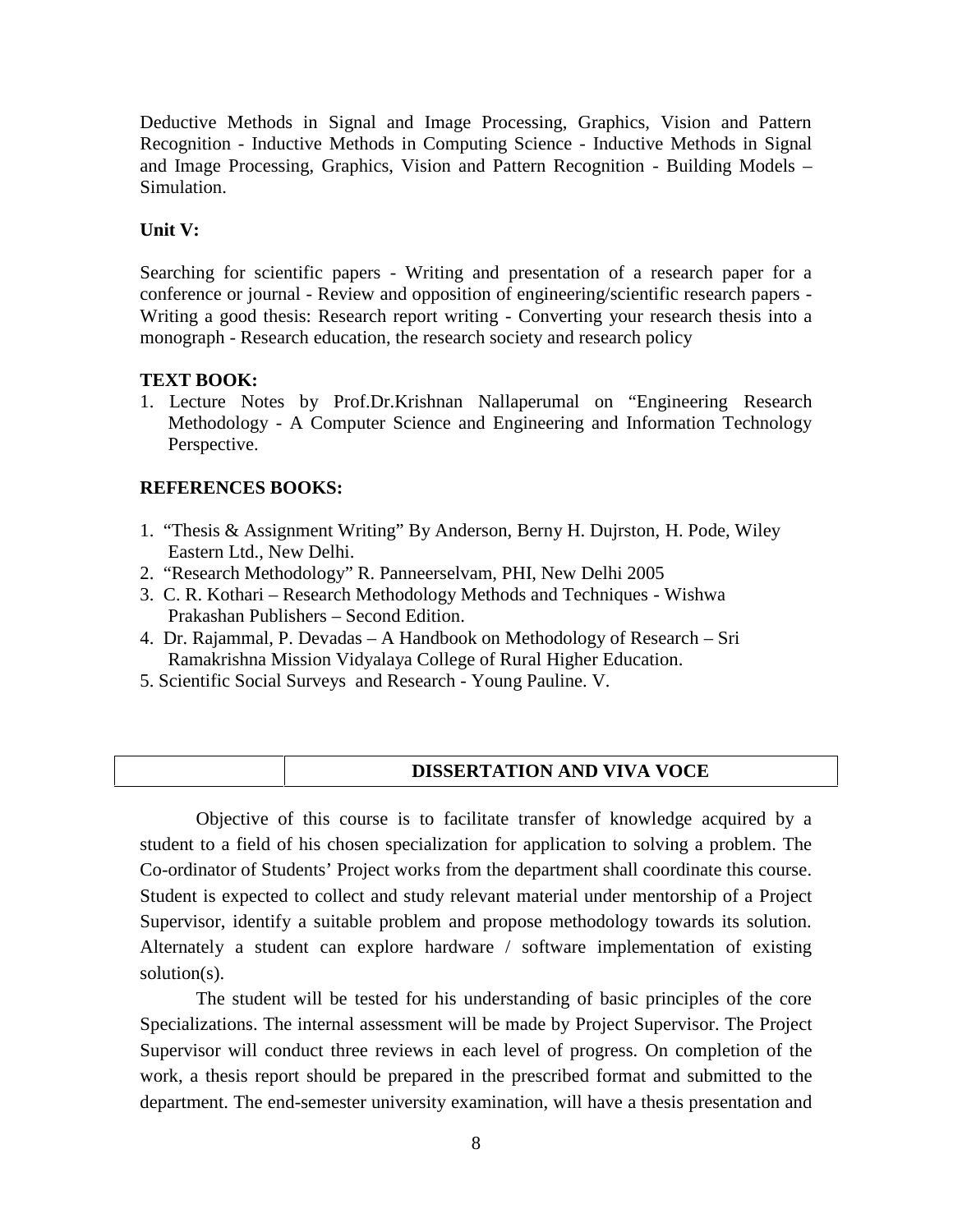Deductive Methods in Signal and Image Processing, Graphics, Vision and Pattern Recognition - Inductive Methods in Computing Science - Inductive Methods in Signal and Image Processing, Graphics, Vision and Pattern Recognition - Building Models – Simulation.

#### **Unit V:**

Searching for scientific papers - Writing and presentation of a research paper for a conference or journal - Review and opposition of engineering/scientific research papers - Writing a good thesis: Research report writing - Converting your research thesis into a monograph - Research education, the research society and research policy

#### **TEXT BOOK:**

1. Lecture Notes by Prof.Dr.Krishnan Nallaperumal on "Engineering Research Methodology - A Computer Science and Engineering and Information Technology Perspective.

#### **REFERENCES BOOKS:**

- 1. "Thesis & Assignment Writing" By Anderson, Berny H. Dujrston, H. Pode, Wiley Eastern Ltd., New Delhi.
- 2. "Research Methodology" R. Panneerselvam, PHI, New Delhi 2005
- 3. C. R. Kothari Research Methodology Methods and Techniques Wishwa Prakashan Publishers – Second Edition.
- 4. Dr. Rajammal, P. Devadas A Handbook on Methodology of Research Sri Ramakrishna Mission Vidyalaya College of Rural Higher Education.
- 5. Scientific Social Surveys and Research Young Pauline. V.

|--|

Objective of this course is to facilitate transfer of knowledge acquired by a student to a field of his chosen specialization for application to solving a problem. The Co-ordinator of Students' Project works from the department shall coordinate this course. Student is expected to collect and study relevant material under mentorship of a Project Supervisor, identify a suitable problem and propose methodology towards its solution. Alternately a student can explore hardware / software implementation of existing solution(s).

The student will be tested for his understanding of basic principles of the core Specializations. The internal assessment will be made by Project Supervisor. The Project Supervisor will conduct three reviews in each level of progress. On completion of the work, a thesis report should be prepared in the prescribed format and submitted to the department. The end-semester university examination, will have a thesis presentation and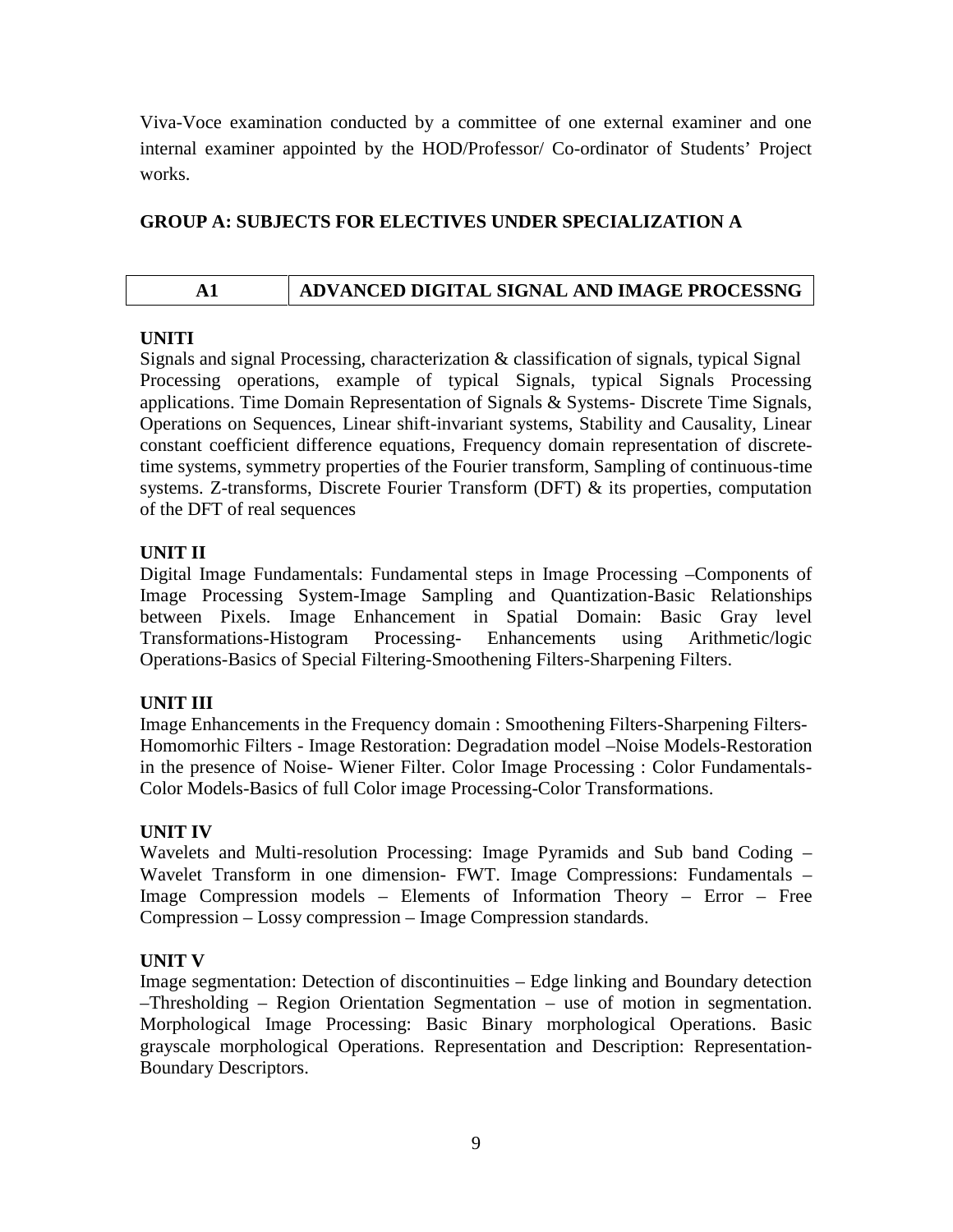Viva-Voce examination conducted by a committee of one external examiner and one internal examiner appointed by the HOD/Professor/ Co-ordinator of Students' Project works.

#### **GROUP A: SUBJECTS FOR ELECTIVES UNDER SPECIALIZATION A**

# **A1 ADVANCED DIGITAL SIGNAL AND IMAGE PROCESSNG**

#### **UNITI**

Signals and signal Processing, characterization & classification of signals, typical Signal Processing operations, example of typical Signals, typical Signals Processing applications. Time Domain Representation of Signals & Systems- Discrete Time Signals, Operations on Sequences, Linear shift-invariant systems, Stability and Causality, Linear constant coefficient difference equations, Frequency domain representation of discretetime systems, symmetry properties of the Fourier transform, Sampling of continuous-time systems. Z-transforms, Discrete Fourier Transform (DFT) & its properties, computation of the DFT of real sequences

# **UNIT II**

Digital Image Fundamentals: Fundamental steps in Image Processing –Components of Image Processing System-Image Sampling and Quantization-Basic Relationships between Pixels. Image Enhancement in Spatial Domain: Basic Gray level Transformations-Histogram Processing- Enhancements using Arithmetic/logic Operations-Basics of Special Filtering-Smoothening Filters-Sharpening Filters.

# **UNIT III**

Image Enhancements in the Frequency domain : Smoothening Filters-Sharpening Filters- Homomorhic Filters - Image Restoration: Degradation model –Noise Models-Restoration in the presence of Noise- Wiener Filter. Color Image Processing : Color Fundamentals- Color Models-Basics of full Color image Processing-Color Transformations.

# **UNIT IV**

Wavelets and Multi-resolution Processing: Image Pyramids and Sub band Coding – Wavelet Transform in one dimension- FWT. Image Compressions: Fundamentals – Image Compression models – Elements of Information Theory – Error – Free Compression – Lossy compression – Image Compression standards.

#### **UNIT V**

Image segmentation: Detection of discontinuities – Edge linking and Boundary detection –Thresholding – Region Orientation Segmentation – use of motion in segmentation. Morphological Image Processing: Basic Binary morphological Operations. Basic grayscale morphological Operations. Representation and Description: Representation- Boundary Descriptors.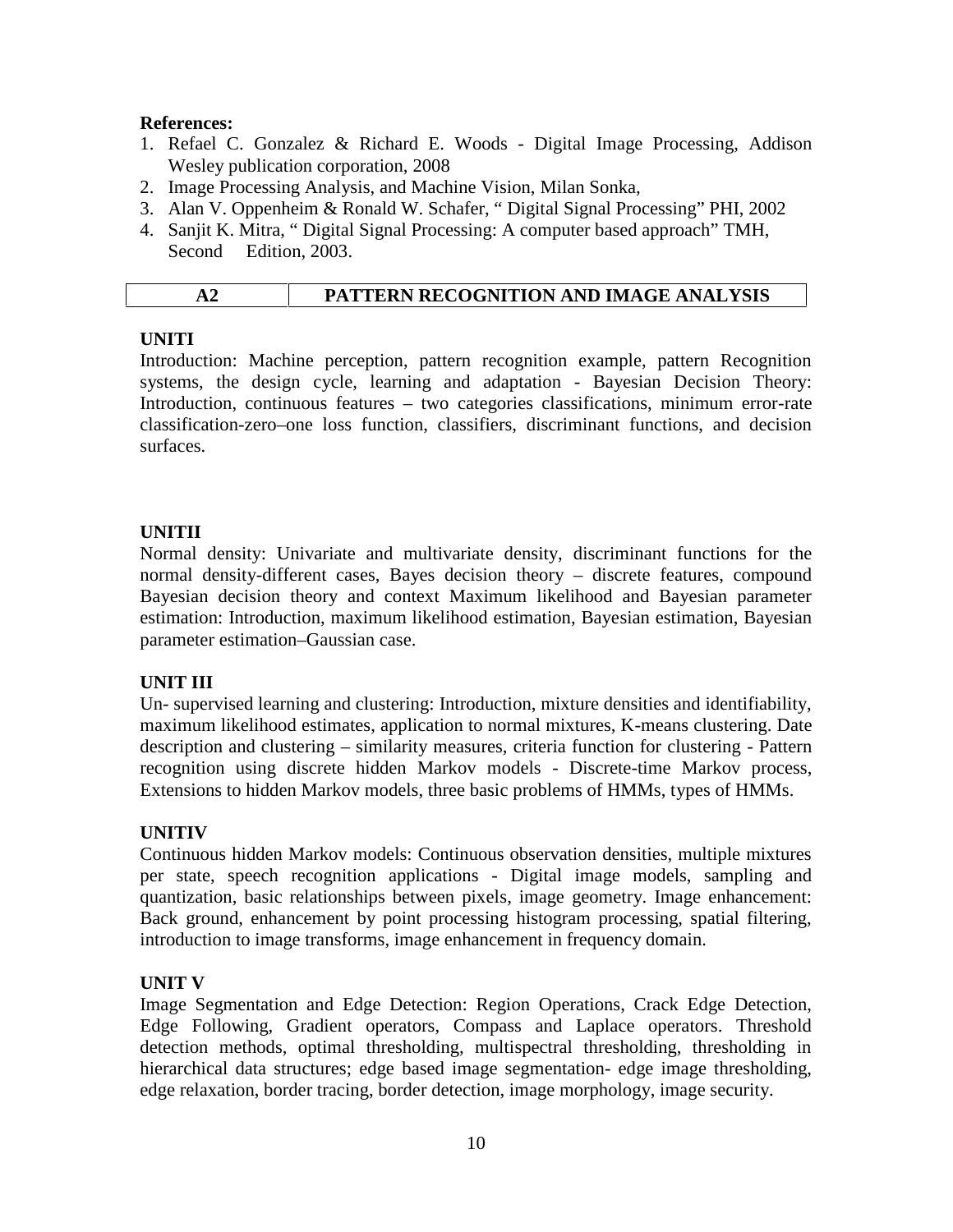#### **References:**

- 1. Refael C. Gonzalez & Richard E. Woods Digital Image Processing, Addison Wesley publication corporation, 2008
- 2. Image Processing Analysis, and Machine Vision, Milan Sonka,
- 3. Alan V. Oppenheim & Ronald W. Schafer, " Digital Signal Processing" PHI, 2002
- 4. Sanjit K. Mitra, " Digital Signal Processing: A computer based approach" TMH, Second Edition, 2003.

#### **UNITI**

Introduction: Machine perception, pattern recognition example, pattern Recognition systems, the design cycle, learning and adaptation - Bayesian Decision Theory: Introduction, continuous features – two categories classifications, minimum error-rate classification-zero–one loss function, classifiers, discriminant functions, and decision surfaces.

# **UNITII**

Normal density: Univariate and multivariate density, discriminant functions for the normal density-different cases, Bayes decision theory – discrete features, compound Bayesian decision theory and context Maximum likelihood and Bayesian parameter estimation: Introduction, maximum likelihood estimation, Bayesian estimation, Bayesian parameter estimation–Gaussian case.

# **UNIT III**

Un- supervised learning and clustering: Introduction, mixture densities and identifiability, maximum likelihood estimates, application to normal mixtures, K-means clustering. Date description and clustering – similarity measures, criteria function for clustering - Pattern recognition using discrete hidden Markov models - Discrete-time Markov process, Extensions to hidden Markov models, three basic problems of HMMs, types of HMMs.

#### **UNITIV**

Continuous hidden Markov models: Continuous observation densities, multiple mixtures per state, speech recognition applications - Digital image models, sampling and quantization, basic relationships between pixels, image geometry. Image enhancement: Back ground, enhancement by point processing histogram processing, spatial filtering, introduction to image transforms, image enhancement in frequency domain.

#### **UNIT V**

Image Segmentation and Edge Detection: Region Operations, Crack Edge Detection, Edge Following, Gradient operators, Compass and Laplace operators. Threshold detection methods, optimal thresholding, multispectral thresholding, thresholding in hierarchical data structures; edge based image segmentation- edge image thresholding, edge relaxation, border tracing, border detection, image morphology, image security.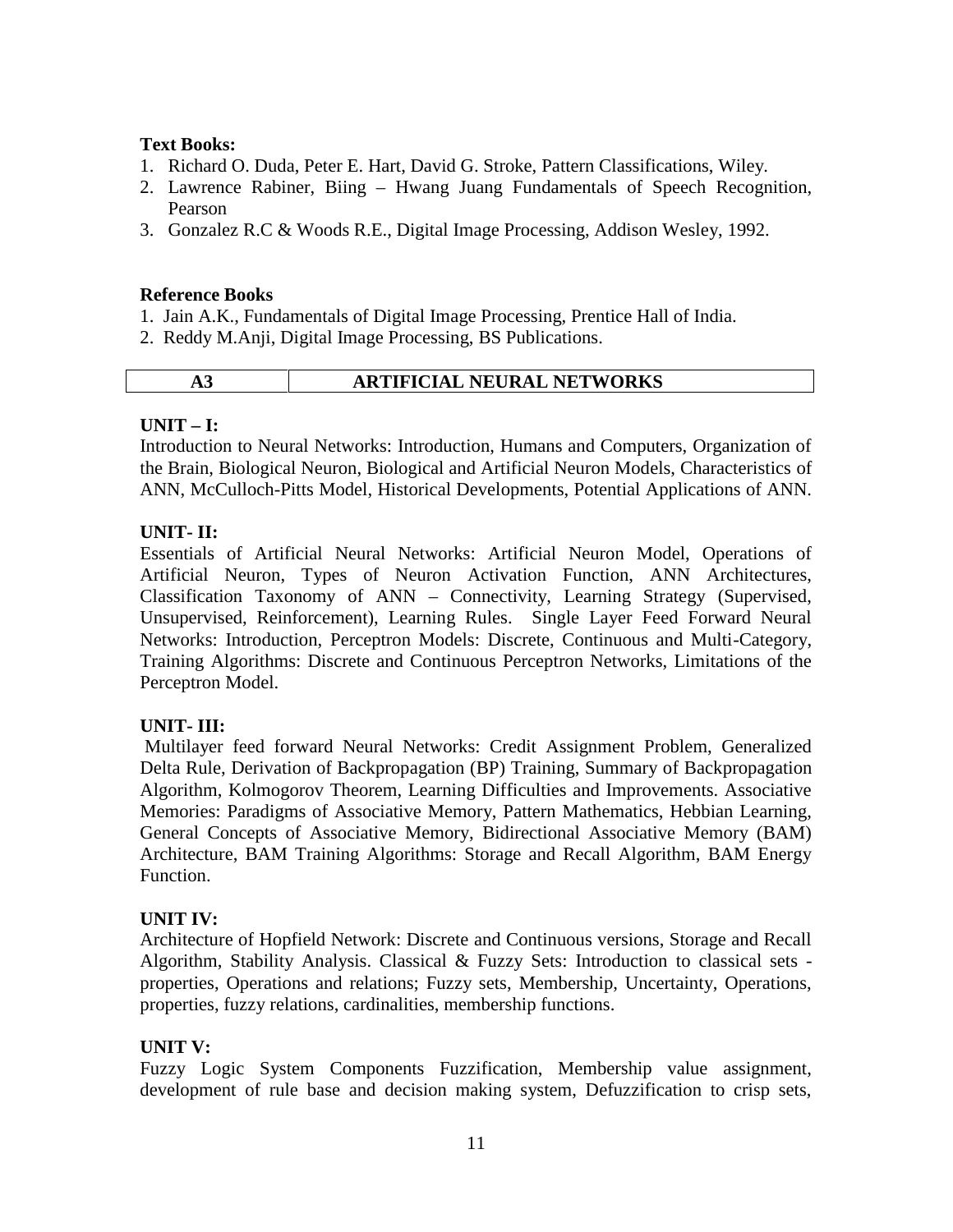#### **Text Books:**

- 1. Richard O. Duda, Peter E. Hart, David G. Stroke, Pattern Classifications, Wiley.
- 2. Lawrence Rabiner, Biing Hwang Juang Fundamentals of Speech Recognition, Pearson
- 3. Gonzalez R.C & Woods R.E., Digital Image Processing, Addison Wesley, 1992.

#### **Reference Books**

- 1. Jain A.K., Fundamentals of Digital Image Processing, Prentice Hall of India.
- 2. Reddy M.Anji, Digital Image Processing, BS Publications.

# **A3 ARTIFICIAL NEURAL NETWORKS**

#### **UNIT – I:**

Introduction to Neural Networks: Introduction, Humans and Computers, Organization of the Brain, Biological Neuron, Biological and Artificial Neuron Models, Characteristics of ANN, McCulloch-Pitts Model, Historical Developments, Potential Applications of ANN.

#### **UNIT- II:**

Essentials of Artificial Neural Networks: Artificial Neuron Model, Operations of Artificial Neuron, Types of Neuron Activation Function, ANN Architectures, Classification Taxonomy of ANN – Connectivity, Learning Strategy (Supervised, Unsupervised, Reinforcement), Learning Rules. Single Layer Feed Forward Neural Networks: Introduction, Perceptron Models: Discrete, Continuous and Multi-Category, Training Algorithms: Discrete and Continuous Perceptron Networks, Limitations of the Perceptron Model.

#### **UNIT- III:**

Multilayer feed forward Neural Networks: Credit Assignment Problem, Generalized Delta Rule, Derivation of Backpropagation (BP) Training, Summary of Backpropagation Algorithm, Kolmogorov Theorem, Learning Difficulties and Improvements. Associative Memories: Paradigms of Associative Memory, Pattern Mathematics, Hebbian Learning, General Concepts of Associative Memory, Bidirectional Associative Memory (BAM) Architecture, BAM Training Algorithms: Storage and Recall Algorithm, BAM Energy Function.

# **UNIT IV:**

Architecture of Hopfield Network: Discrete and Continuous versions, Storage and Recall Algorithm, Stability Analysis. Classical & Fuzzy Sets: Introduction to classical sets properties, Operations and relations; Fuzzy sets, Membership, Uncertainty, Operations, properties, fuzzy relations, cardinalities, membership functions.

# **UNIT V:**

Fuzzy Logic System Components Fuzzification, Membership value assignment, development of rule base and decision making system, Defuzzification to crisp sets,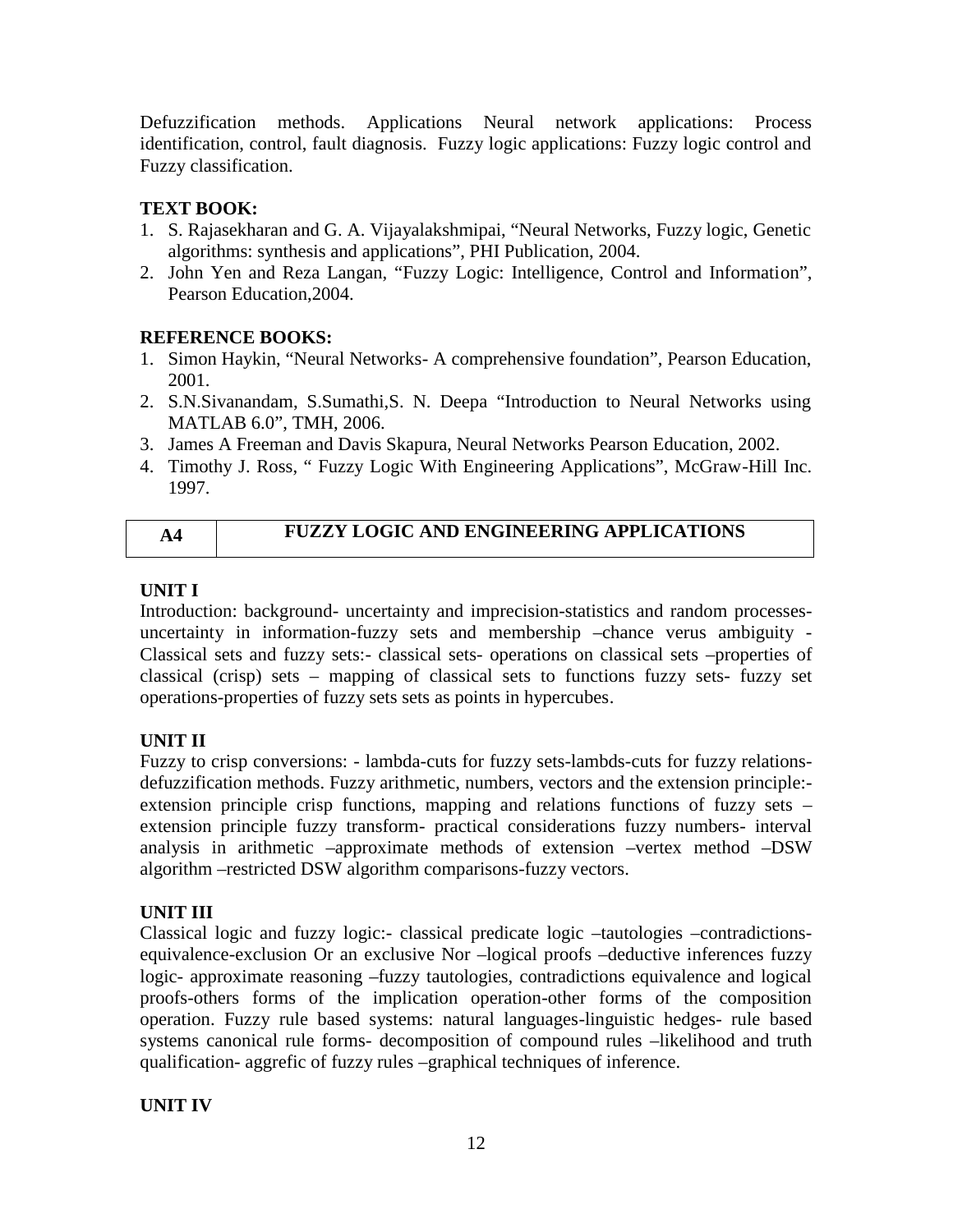Defuzzification methods. Applications Neural network applications: Process identification, control, fault diagnosis. Fuzzy logic applications: Fuzzy logic control and Fuzzy classification.

# **TEXT BOOK:**

- 1. S. Rajasekharan and G. A. Vijayalakshmipai, "Neural Networks, Fuzzy logic, Genetic algorithms: synthesis and applications", PHI Publication, 2004.
- 2. John Yen and Reza Langan, "Fuzzy Logic: Intelligence, Control and Information", Pearson Education,2004.

# **REFERENCE BOOKS:**

- 1. Simon Haykin, "Neural Networks- A comprehensive foundation", Pearson Education, 2001.
- 2. S.N.Sivanandam, S.Sumathi,S. N. Deepa "Introduction to Neural Networks using MATLAB 6.0", TMH, 2006.
- 3. James A Freeman and Davis Skapura, Neural Networks Pearson Education, 2002.
- 4. Timothy J. Ross, " Fuzzy Logic With Engineering Applications", McGraw-Hill Inc. 1997.

| <b>FUZZY LOGIC AND ENGINEERING APPLICATIONS</b> |
|-------------------------------------------------|
|                                                 |

# **UNIT I**

Introduction: background- uncertainty and imprecision-statistics and random processes uncertainty in information-fuzzy sets and membership –chance verus ambiguity - Classical sets and fuzzy sets:- classical sets- operations on classical sets –properties of classical (crisp) sets – mapping of classical sets to functions fuzzy sets- fuzzy set operations-properties of fuzzy sets sets as points in hypercubes.

# **UNIT II**

Fuzzy to crisp conversions: - lambda-cuts for fuzzy sets-lambds-cuts for fuzzy relations defuzzification methods. Fuzzy arithmetic, numbers, vectors and the extension principle: extension principle crisp functions, mapping and relations functions of fuzzy sets – extension principle fuzzy transform- practical considerations fuzzy numbers- interval analysis in arithmetic –approximate methods of extension –vertex method –DSW algorithm –restricted DSW algorithm comparisons-fuzzy vectors.

# **UNIT III**

Classical logic and fuzzy logic:- classical predicate logic –tautologies –contradictions equivalence-exclusion Or an exclusive Nor –logical proofs –deductive inferences fuzzy logic- approximate reasoning –fuzzy tautologies, contradictions equivalence and logical proofs-others forms of the implication operation-other forms of the composition operation. Fuzzy rule based systems: natural languages-linguistic hedges- rule based systems canonical rule forms- decomposition of compound rules –likelihood and truth qualification- aggrefic of fuzzy rules –graphical techniques of inference.

# **UNIT IV**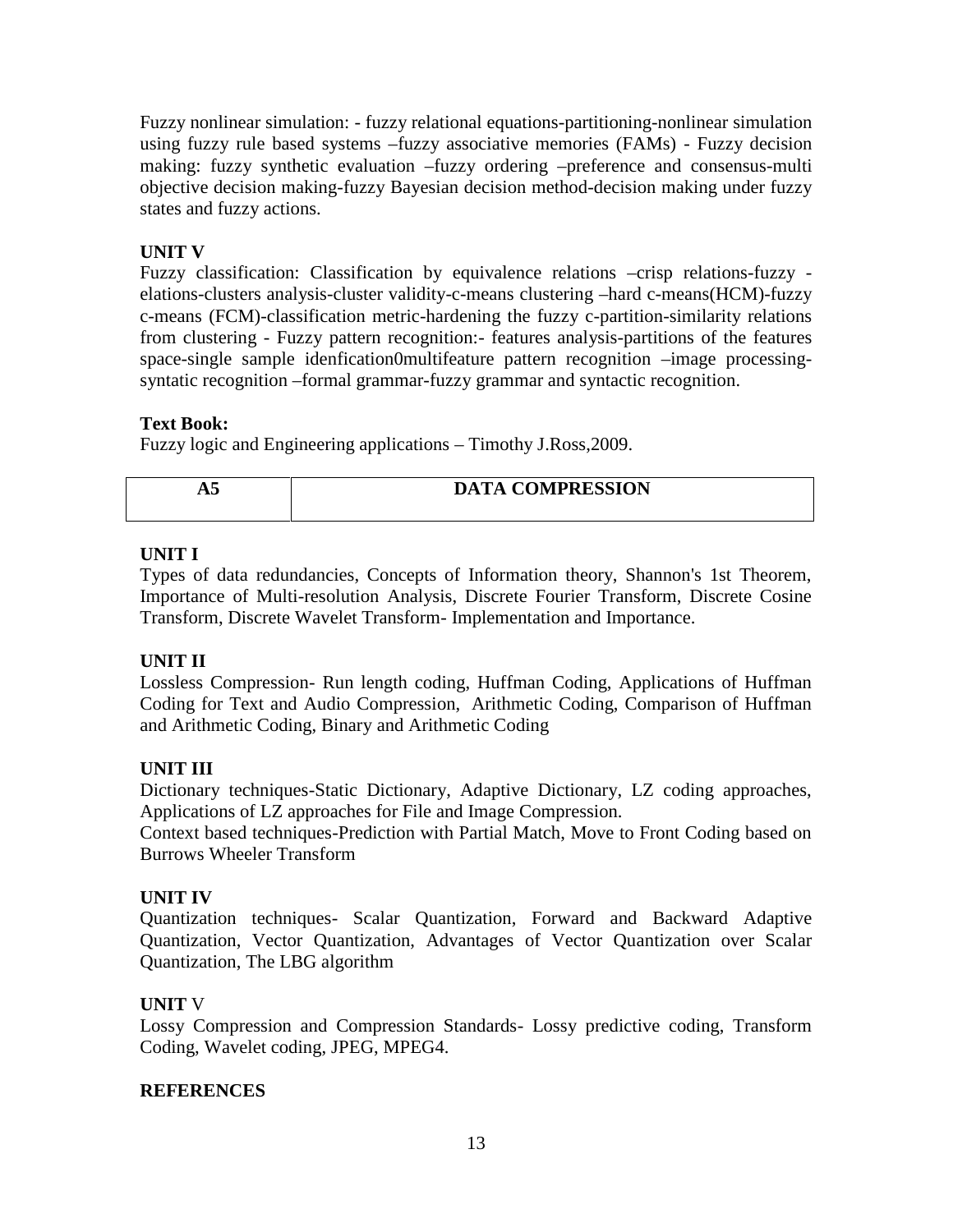Fuzzy nonlinear simulation: - fuzzy relational equations-partitioning-nonlinear simulation using fuzzy rule based systems –fuzzy associative memories (FAMs) - Fuzzy decision making: fuzzy synthetic evaluation –fuzzy ordering –preference and consensus-multi objective decision making-fuzzy Bayesian decision method-decision making under fuzzy states and fuzzy actions.

# **UNIT V**

Fuzzy classification: Classification by equivalence relations –crisp relations-fuzzy elations-clusters analysis-cluster validity-c-means clustering –hard c-means(HCM)-fuzzy c-means (FCM)-classification metric-hardening the fuzzy c-partition-similarity relations from clustering - Fuzzy pattern recognition:- features analysis-partitions of the features space-single sample idenfication0multifeature pattern recognition –image processing syntatic recognition –formal grammar-fuzzy grammar and syntactic recognition.

# **Text Book:**

Fuzzy logic and Engineering applications – Timothy J.Ross,2009.

| л. | <b>DATA COMPRESSION</b> |
|----|-------------------------|
|    |                         |

# **UNIT I**

Types of data redundancies, Concepts of Information theory, Shannon's 1st Theorem, Importance of Multi-resolution Analysis, Discrete Fourier Transform, Discrete Cosine Transform, Discrete Wavelet Transform- Implementation and Importance.

# **UNIT II**

Lossless Compression- Run length coding, Huffman Coding, Applications of Huffman Coding for Text and Audio Compression, Arithmetic Coding, Comparison of Huffman and Arithmetic Coding, Binary and Arithmetic Coding

# **UNIT III**

Dictionary techniques-Static Dictionary, Adaptive Dictionary, LZ coding approaches, Applications of LZ approaches for File and Image Compression.

Context based techniques-Prediction with Partial Match, Move to Front Coding based on Burrows Wheeler Transform

# **UNIT IV**

Quantization techniques- Scalar Quantization, Forward and Backward Adaptive Quantization, Vector Quantization, Advantages of Vector Quantization over Scalar Quantization, The LBG algorithm

# **UNIT** V

Lossy Compression and Compression Standards- Lossy predictive coding, Transform Coding, Wavelet coding, JPEG, MPEG4.

# **REFERENCES**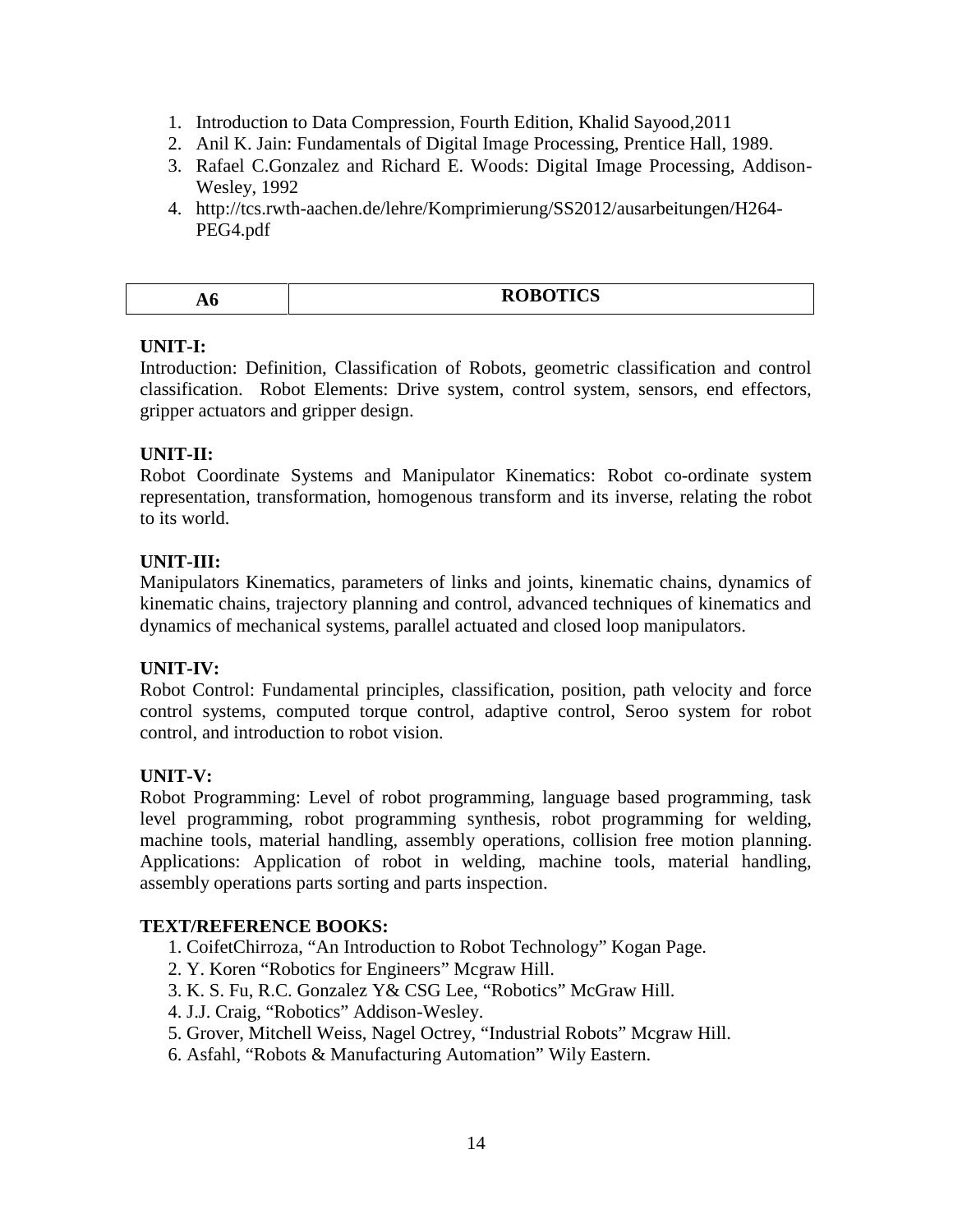- 1. Introduction to Data Compression, Fourth Edition, Khalid Sayood,2011
- 2. Anil K. Jain: Fundamentals of Digital Image Processing, Prentice Hall, 1989.
- 3. Rafael C.Gonzalez and Richard E. Woods: Digital Image Processing, Addison- Wesley, 1992
- 4. http://tcs.rwth-aachen.de/lehre/Komprimierung/SS2012/ausarbeitungen/H264- PEG4.pdf

|    | <b>ROBOTICS</b> |
|----|-----------------|
| ЛV |                 |

#### **UNIT-I:**

Introduction: Definition, Classification of Robots, geometric classification and control classification. Robot Elements: Drive system, control system, sensors, end effectors, gripper actuators and gripper design.

# **UNIT-II:**

Robot Coordinate Systems and Manipulator Kinematics: Robot co-ordinate system representation, transformation, homogenous transform and its inverse, relating the robot to its world.

# **UNIT-III:**

Manipulators Kinematics, parameters of links and joints, kinematic chains, dynamics of kinematic chains, trajectory planning and control, advanced techniques of kinematics and dynamics of mechanical systems, parallel actuated and closed loop manipulators.

# **UNIT-IV:**

Robot Control: Fundamental principles, classification, position, path velocity and force control systems, computed torque control, adaptive control, Seroo system for robot control, and introduction to robot vision.

# **UNIT-V:**

Robot Programming: Level of robot programming, language based programming, task level programming, robot programming synthesis, robot programming for welding, machine tools, material handling, assembly operations, collision free motion planning. Applications: Application of robot in welding, machine tools, material handling, assembly operations parts sorting and parts inspection.

# **TEXT/REFERENCE BOOKS:**

- 1. CoifetChirroza, "An Introduction to Robot Technology" Kogan Page.
- 2. Y. Koren "Robotics for Engineers" Mcgraw Hill.
- 3. K. S. Fu, R.C. Gonzalez Y& CSG Lee, "Robotics" McGraw Hill.
- 4. J.J. Craig, "Robotics" Addison-Wesley.
- 5. Grover, Mitchell Weiss, Nagel Octrey, "Industrial Robots" Mcgraw Hill.
- 6. Asfahl, "Robots & Manufacturing Automation" Wily Eastern.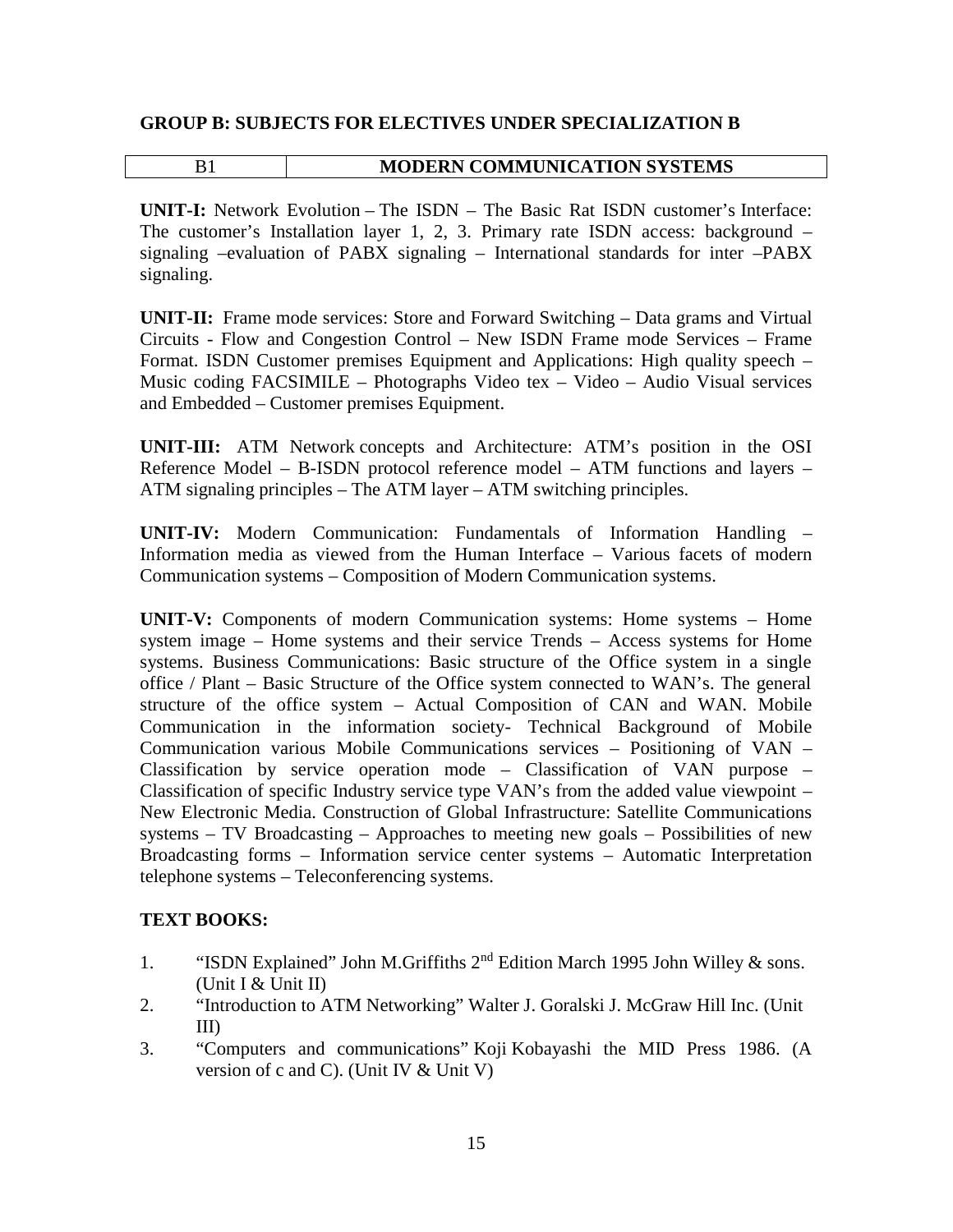#### **GROUP B: SUBJECTS FOR ELECTIVES UNDER SPECIALIZATION B**

#### B1 **MODERN COMMUNICATION SYSTEMS**

**UNIT-I:** Network Evolution – The ISDN – The Basic Rat ISDN customer's Interface: The customer's Installation layer 1, 2, 3. Primary rate ISDN access: background – signaling –evaluation of PABX signaling – International standards for inter –PABX signaling.

**UNIT-II:** Frame mode services: Store and Forward Switching – Data grams and Virtual Circuits - Flow and Congestion Control – New ISDN Frame mode Services – Frame Format. ISDN Customer premises Equipment and Applications: High quality speech – Music coding FACSIMILE – Photographs Video tex – Video – Audio Visual services and Embedded – Customer premises Equipment.

**UNIT-III:** ATM Network concepts and Architecture: ATM's position in the OSI Reference Model – B-ISDN protocol reference model – ATM functions and layers – ATM signaling principles – The ATM layer – ATM switching principles.

**UNIT-IV:** Modern Communication: Fundamentals of Information Handling – Information media as viewed from the Human Interface – Various facets of modern Communication systems – Composition of Modern Communication systems.

**UNIT-V:** Components of modern Communication systems: Home systems – Home system image – Home systems and their service Trends – Access systems for Home systems. Business Communications: Basic structure of the Office system in a single office / Plant – Basic Structure of the Office system connected to WAN's. The general structure of the office system – Actual Composition of CAN and WAN. Mobile Communication in the information society- Technical Background of Mobile Communication various Mobile Communications services – Positioning of VAN – Classification by service operation mode – Classification of VAN purpose – Classification of specific Industry service type VAN's from the added value viewpoint – New Electronic Media. Construction of Global Infrastructure: Satellite Communications systems – TV Broadcasting – Approaches to meeting new goals – Possibilities of new Broadcasting forms – Information service center systems – Automatic Interpretation telephone systems – Teleconferencing systems.

# **TEXT BOOKS:**

- 1. "ISDN Explained" John M.Griffiths  $2<sup>nd</sup>$  Edition March 1995 John Willey & sons. (Unit I & Unit II)
- 2. "Introduction to ATM Networking" Walter J. Goralski J. McGraw Hill Inc. (Unit III)
- 3. "Computers and communications" Koji Kobayashi the MID Press 1986. (A version of c and C). (Unit IV & Unit V)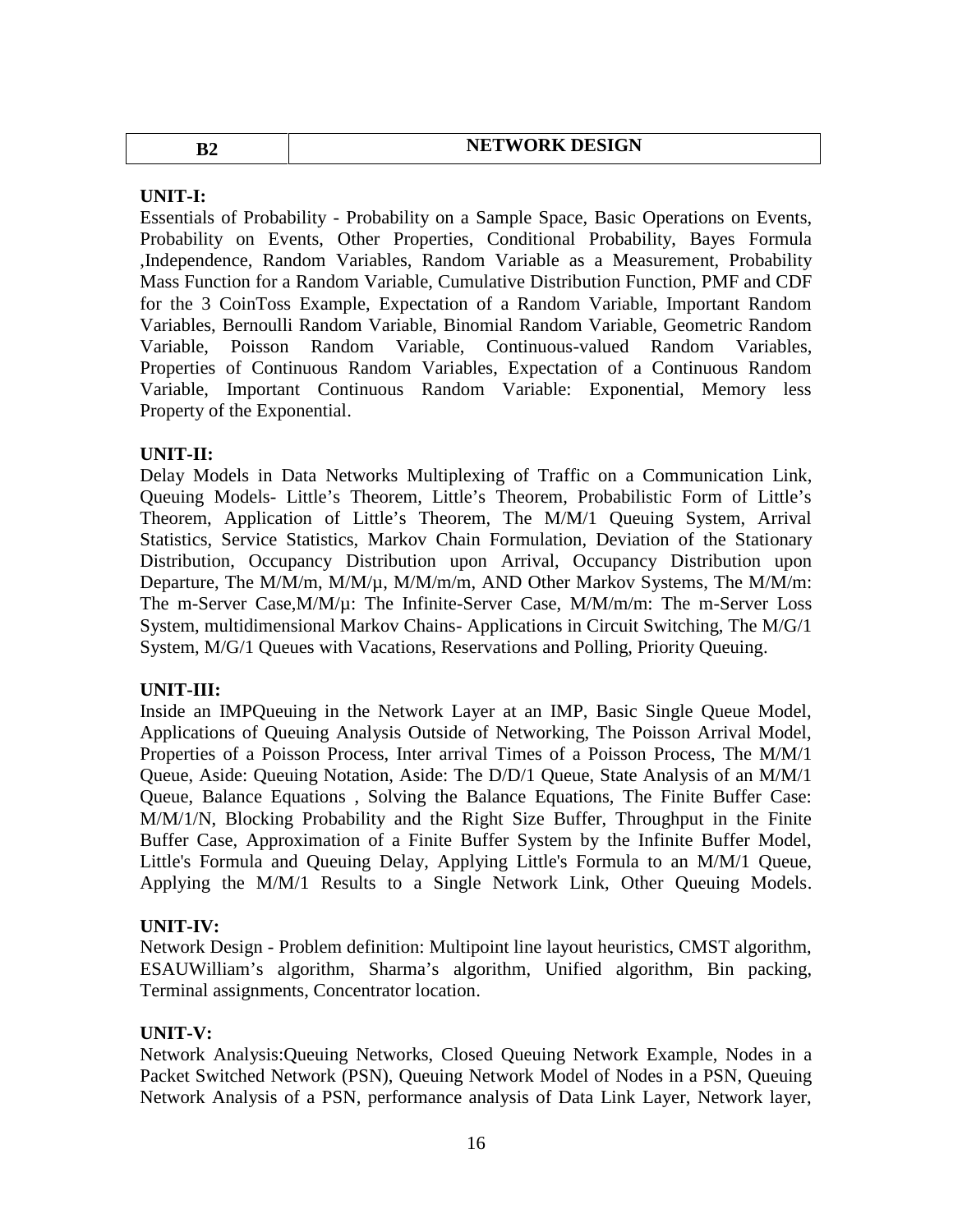| <b>NETWORK DESIGN</b><br>$\bf{B2}$ |  |
|------------------------------------|--|
|------------------------------------|--|

#### **UNIT-I:**

Essentials of Probability - Probability on a Sample Space, Basic Operations on Events, Probability on Events, Other Properties, Conditional Probability, Bayes Formula ,Independence, Random Variables, Random Variable as a Measurement, Probability Mass Function for a Random Variable, Cumulative Distribution Function, PMF and CDF for the 3 CoinToss Example, Expectation of a Random Variable, Important Random Variables, Bernoulli Random Variable, Binomial Random Variable, Geometric Random Variable, Poisson Random Variable, Continuous-valued Random Variables, Properties of Continuous Random Variables, Expectation of a Continuous Random Variable, Important Continuous Random Variable: Exponential, Memory less Property of the Exponential.

#### **UNIT-II:**

Delay Models in Data Networks Multiplexing of Traffic on a Communication Link, Queuing Models- Little's Theorem, Little's Theorem, Probabilistic Form of Little's Theorem, Application of Little's Theorem, The M/M/1 Queuing System, Arrival Statistics, Service Statistics, Markov Chain Formulation, Deviation of the Stationary Distribution, Occupancy Distribution upon Arrival, Occupancy Distribution upon Departure, The M/M/m, M/M/µ, M/M/m/m, AND Other Markov Systems, The M/M/m: The m-Server Case,M/M/µ: The Infinite-Server Case, M/M/m/m: The m-Server Loss System, multidimensional Markov Chains- Applications in Circuit Switching, The M/G/1 System, M/G/1 Queues with Vacations, Reservations and Polling, Priority Queuing.

#### **UNIT-III:**

Inside an IMPQueuing in the Network Layer at an IMP, Basic Single Queue Model, Applications of Queuing Analysis Outside of Networking, The Poisson Arrival Model, Properties of a Poisson Process, Inter arrival Times of a Poisson Process, The M/M/1 Queue, Aside: Queuing Notation, Aside: The D/D/1 Queue, State Analysis of an M/M/1 Queue, Balance Equations , Solving the Balance Equations, The Finite Buffer Case: M/M/1/N, Blocking Probability and the Right Size Buffer, Throughput in the Finite Buffer Case, Approximation of a Finite Buffer System by the Infinite Buffer Model, Little's Formula and Queuing Delay, Applying Little's Formula to an M/M/1 Queue, Applying the M/M/1 Results to a Single Network Link, Other Queuing Models.

#### **UNIT-IV:**

Network Design - Problem definition: Multipoint line layout heuristics, CMST algorithm, ESAUWilliam's algorithm, Sharma's algorithm, Unified algorithm, Bin packing, Terminal assignments, Concentrator location.

#### **UNIT-V:**

Network Analysis:Queuing Networks, Closed Queuing Network Example, Nodes in a Packet Switched Network (PSN), Queuing Network Model of Nodes in a PSN, Queuing Network Analysis of a PSN, performance analysis of Data Link Layer, Network layer,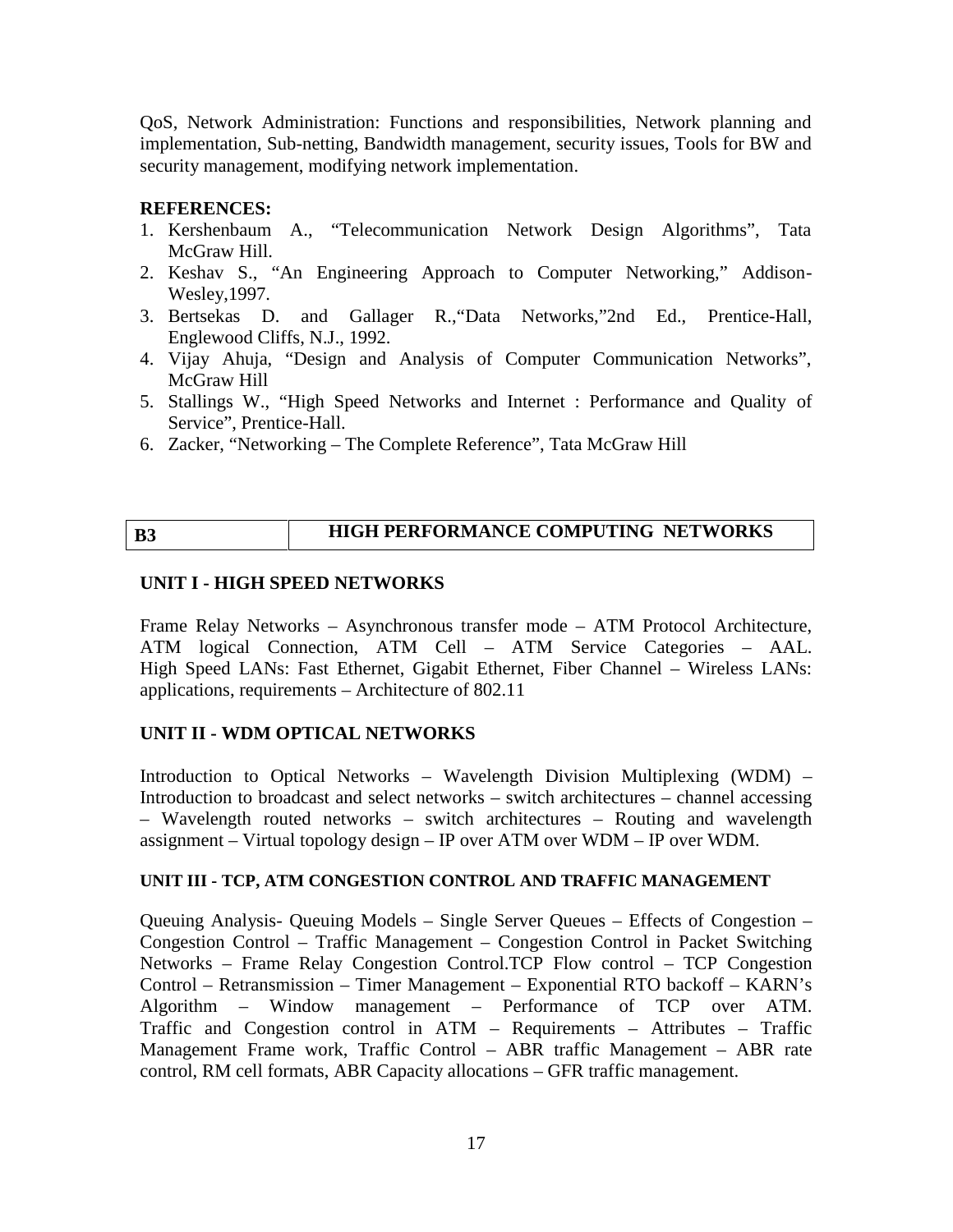QoS, Network Administration: Functions and responsibilities, Network planning and implementation, Sub-netting, Bandwidth management, security issues, Tools for BW and security management, modifying network implementation.

#### **REFERENCES:**

- 1. Kershenbaum A., "Telecommunication Network Design Algorithms", Tata McGraw Hill.
- 2. Keshav S., "An Engineering Approach to Computer Networking," Addison- Wesley,1997.
- 3. Bertsekas D. and Gallager R.,"Data Networks,"2nd Ed., Prentice-Hall, Englewood Cliffs, N.J., 1992.
- 4. Vijay Ahuja, "Design and Analysis of Computer Communication Networks", McGraw Hill
- 5. Stallings W., "High Speed Networks and Internet : Performance and Quality of Service", Prentice-Hall.
- 6. Zacker, "Networking The Complete Reference", Tata McGraw Hill

# **B3 HIGH PERFORMANCE COMPUTING NETWORKS**

#### **UNIT I - HIGH SPEED NETWORKS**

Frame Relay Networks – Asynchronous transfer mode – ATM Protocol Architecture, ATM logical Connection, ATM Cell – ATM Service Categories – AAL. High Speed LANs: Fast Ethernet, Gigabit Ethernet, Fiber Channel – Wireless LANs: applications, requirements – Architecture of 802.11

# **UNIT II - WDM OPTICAL NETWORKS**

Introduction to Optical Networks – Wavelength Division Multiplexing (WDM) – Introduction to broadcast and select networks – switch architectures – channel accessing – Wavelength routed networks – switch architectures – Routing and wavelength assignment – Virtual topology design – IP over ATM over WDM – IP over WDM.

#### **UNIT III - TCP, ATM CONGESTION CONTROL AND TRAFFIC MANAGEMENT**

Queuing Analysis- Queuing Models – Single Server Queues – Effects of Congestion – Congestion Control – Traffic Management – Congestion Control in Packet Switching Networks – Frame Relay Congestion Control.TCP Flow control – TCP Congestion Control – Retransmission – Timer Management – Exponential RTO backoff – KARN's Algorithm – Window management – Performance of TCP over ATM. Traffic and Congestion control in ATM – Requirements – Attributes – Traffic Management Frame work, Traffic Control – ABR traffic Management – ABR rate control, RM cell formats, ABR Capacity allocations – GFR traffic management.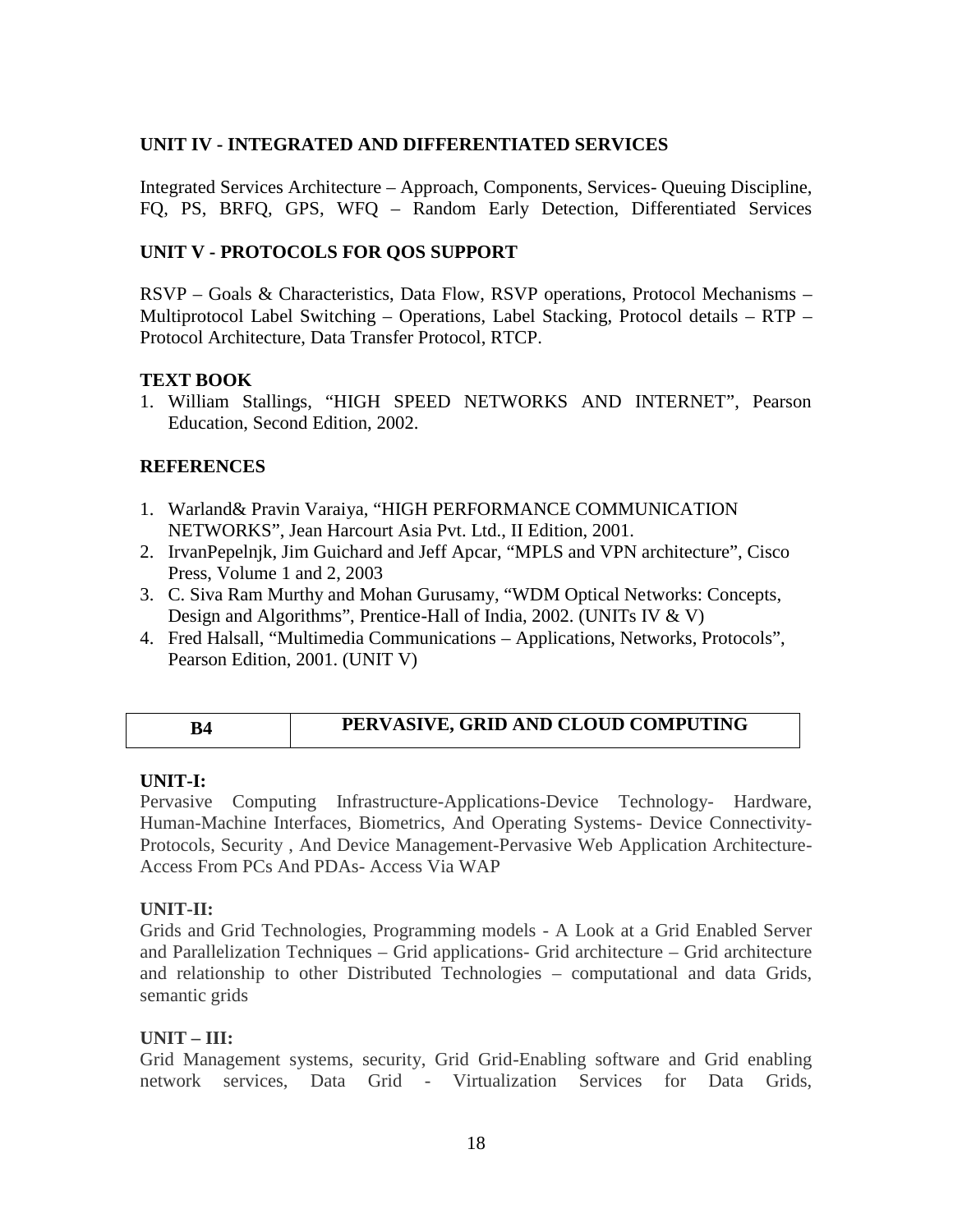#### **UNIT IV - INTEGRATED AND DIFFERENTIATED SERVICES**

Integrated Services Architecture – Approach, Components, Services- Queuing Discipline, FQ, PS, BRFQ, GPS, WFQ – Random Early Detection, Differentiated Services

#### **UNIT V - PROTOCOLS FOR QOS SUPPORT**

RSVP – Goals & Characteristics, Data Flow, RSVP operations, Protocol Mechanisms – Multiprotocol Label Switching – Operations, Label Stacking, Protocol details – RTP – Protocol Architecture, Data Transfer Protocol, RTCP.

#### **TEXT BOOK**

1. William Stallings, "HIGH SPEED NETWORKS AND INTERNET", Pearson Education, Second Edition, 2002.

#### **REFERENCES**

- 1. Warland& Pravin Varaiya, "HIGH PERFORMANCE COMMUNICATION NETWORKS", Jean Harcourt Asia Pvt. Ltd., II Edition, 2001.
- 2. IrvanPepelnjk, Jim Guichard and Jeff Apcar, "MPLS and VPN architecture", Cisco Press, Volume 1 and 2, 2003
- 3. C. Siva Ram Murthy and Mohan Gurusamy, "WDM Optical Networks: Concepts, Design and Algorithms", Prentice-Hall of India, 2002. (UNITs IV & V)
- 4. Fred Halsall, "Multimedia Communications Applications, Networks, Protocols", Pearson Edition, 2001. (UNIT V)

#### **B4 PERVASIVE, GRID AND CLOUD COMPUTING**

#### **UNIT-I:**

Pervasive Computing Infrastructure-Applications-Device Technology- Hardware, Human-Machine Interfaces, Biometrics, And Operating Systems- Device Connectivity- Protocols, Security , And Device Management-Pervasive Web Application Architecture- Access From PCs And PDAs- Access Via WAP

#### **UNIT-II:**

Grids and Grid Technologies, Programming models - A Look at a Grid Enabled Server and Parallelization Techniques – Grid applications- Grid architecture – Grid architecture and relationship to other Distributed Technologies – computational and data Grids, semantic grids

#### **UNIT – III:**

Grid Management systems, security, Grid Grid-Enabling software and Grid enabling network services, Data Grid - Virtualization Services for Data Grids,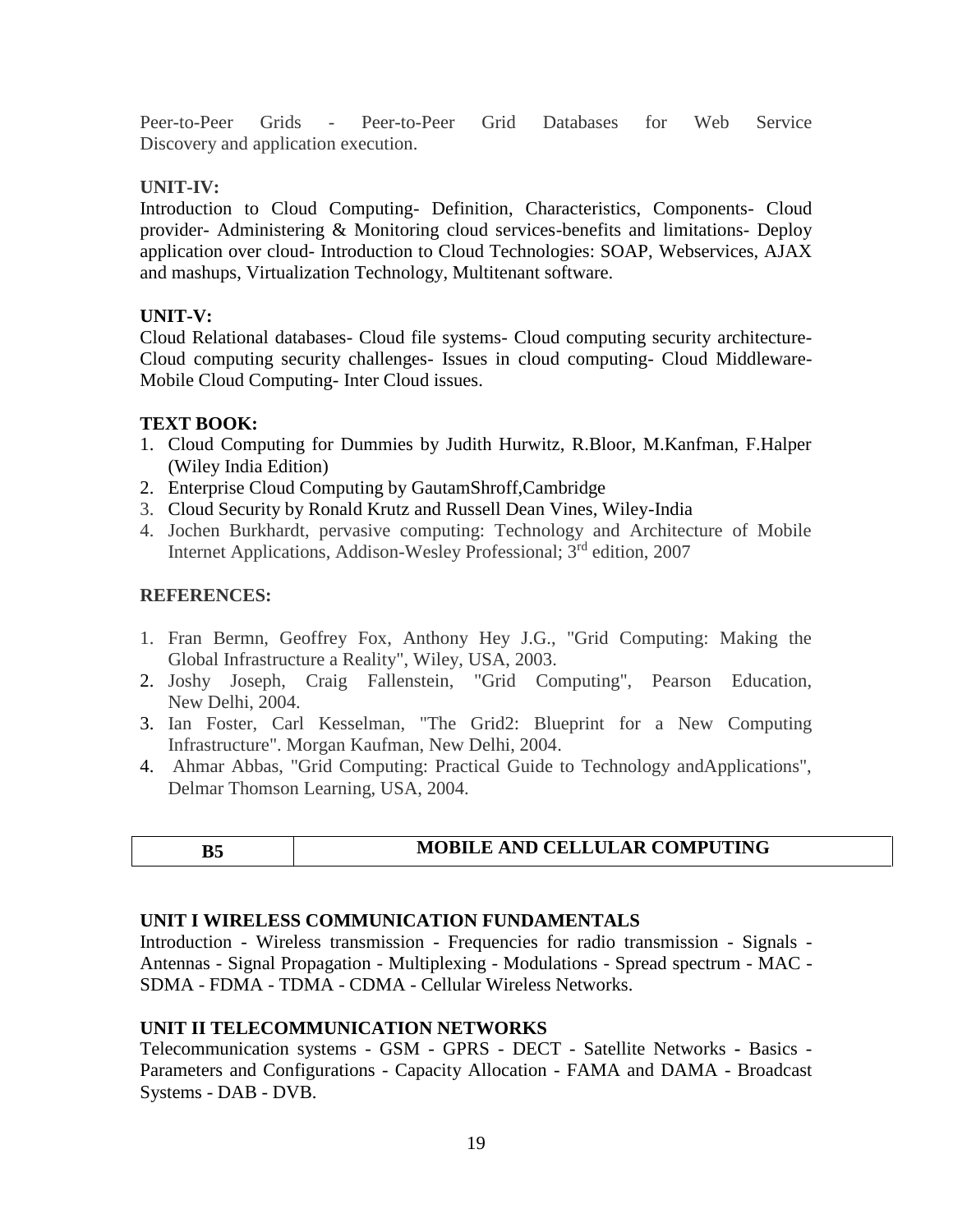Peer-to-Peer Grids - Peer-to-Peer Grid Databases for Web Service Discovery and application execution.

#### **UNIT-IV:**

Introduction to Cloud Computing- Definition, Characteristics, Components- Cloud provider- Administering & Monitoring cloud services-benefits and limitations- Deploy application over cloud- Introduction to Cloud Technologies: SOAP, Webservices, AJAX and mashups, Virtualization Technology, Multitenant software.

#### **UNIT-V:**

Cloud Relational databases- Cloud file systems- Cloud computing security architecture- Cloud computing security challenges- Issues in cloud computing- Cloud Middleware- Mobile Cloud Computing- Inter Cloud issues.

#### **TEXT BOOK:**

- 1. Cloud Computing for Dummies by Judith Hurwitz, R.Bloor, M.Kanfman, F.Halper (Wiley India Edition)
- 2. Enterprise Cloud Computing by GautamShroff,Cambridge
- 3. Cloud Security by Ronald Krutz and Russell Dean Vines, Wiley-India
- 4. Jochen Burkhardt, pervasive computing: Technology and Architecture of Mobile Internet Applications, Addison-Wesley Professional; 3<sup>rd</sup> edition, 2007

#### **REFERENCES:**

- 1. Fran Bermn, Geoffrey Fox, Anthony Hey J.G., "Grid Computing: Making the Global Infrastructure a Reality", Wiley, USA, 2003.
- 2. Joshy Joseph, Craig Fallenstein, "Grid Computing", Pearson Education, New Delhi, 2004.
- 3. Ian Foster, Carl Kesselman, "The Grid2: Blueprint for a New Computing Infrastructure". Morgan Kaufman, New Delhi, 2004.
- 4. Ahmar Abbas, "Grid Computing: Practical Guide to Technology andApplications", Delmar Thomson Learning, USA, 2004.

# **B5 MOBILE AND CELLULAR COMPUTING**

# **UNIT I WIRELESS COMMUNICATION FUNDAMENTALS**

Introduction - Wireless transmission - Frequencies for radio transmission - Signals - Antennas - Signal Propagation - Multiplexing - Modulations - Spread spectrum - MAC - SDMA - FDMA - TDMA - CDMA - Cellular Wireless Networks.

#### **UNIT II TELECOMMUNICATION NETWORKS**

Telecommunication systems - GSM - GPRS - DECT - Satellite Networks **-** Basics - Parameters and Configurations - Capacity Allocation - FAMA and DAMA - Broadcast Systems - DAB - DVB.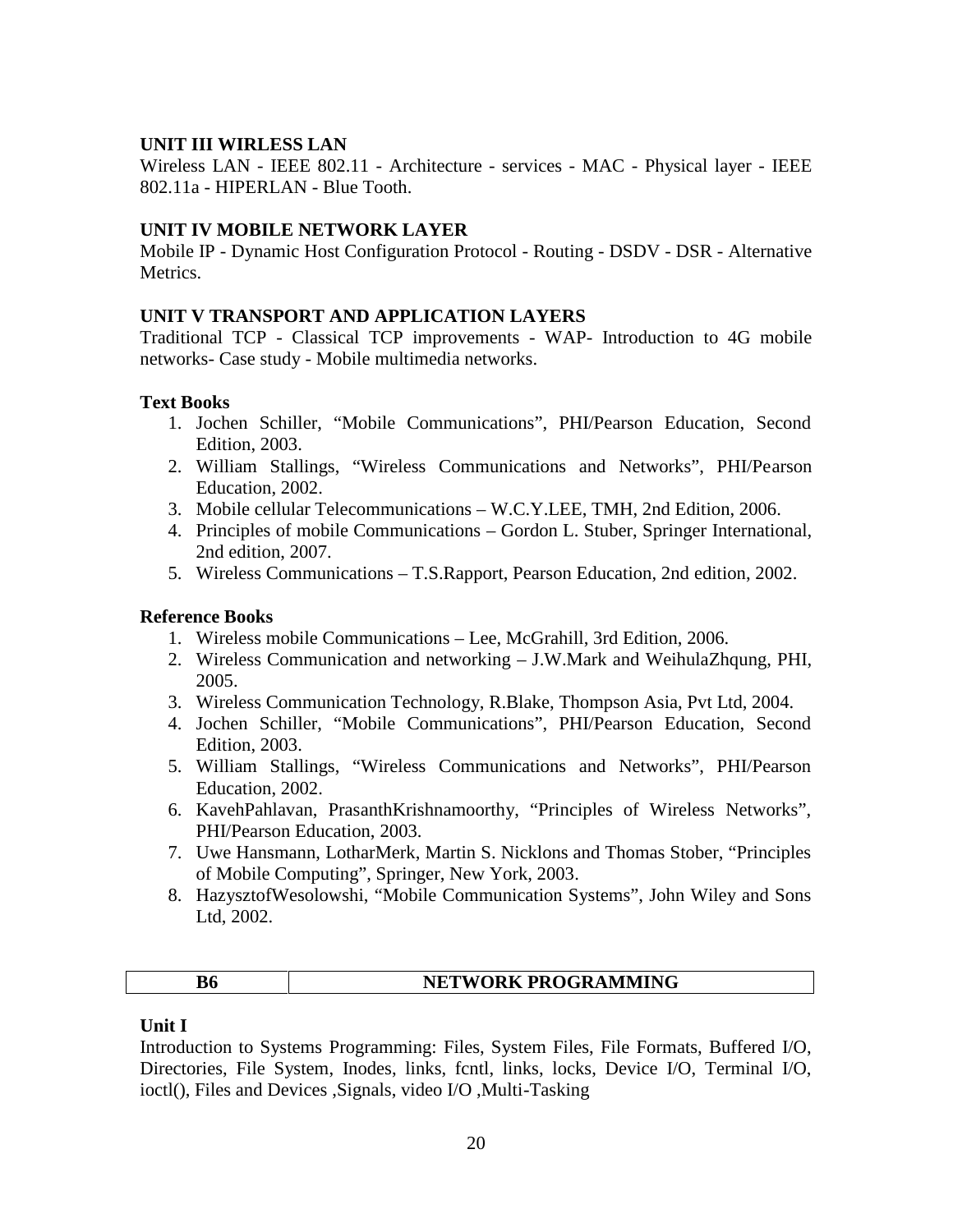#### **UNIT III WIRLESS LAN**

Wireless LAN - IEEE 802.11 - Architecture - services - MAC - Physical layer - IEEE 802.11a - HIPERLAN - Blue Tooth.

#### **UNIT IV MOBILE NETWORK LAYER**

Mobile IP - Dynamic Host Configuration Protocol - Routing - DSDV - DSR - Alternative Metrics.

#### **UNIT V TRANSPORT AND APPLICATION LAYERS**

Traditional TCP - Classical TCP improvements - WAP- Introduction to 4G mobile networks- Case study - Mobile multimedia networks.

#### **Text Books**

- 1. Jochen Schiller, "Mobile Communications", PHI/Pearson Education, Second Edition, 2003.
- 2. William Stallings, "Wireless Communications and Networks", PHI/Pearson Education, 2002.
- 3. Mobile cellular Telecommunications W.C.Y.LEE, TMH, 2nd Edition, 2006.
- 4. Principles of mobile Communications Gordon L. Stuber, Springer International, 2nd edition, 2007.
- 5. Wireless Communications T.S.Rapport, Pearson Education, 2nd edition, 2002.

#### **Reference Books**

- 1. Wireless mobile Communications Lee, McGrahill, 3rd Edition, 2006.
- 2. Wireless Communication and networking J.W.Mark and WeihulaZhqung, PHI, 2005.
- 3. Wireless Communication Technology, R.Blake, Thompson Asia, Pvt Ltd, 2004.
- 4. Jochen Schiller, "Mobile Communications", PHI/Pearson Education, Second Edition, 2003.
- 5. William Stallings, "Wireless Communications and Networks", PHI/Pearson Education, 2002.
- 6. KavehPahlavan, PrasanthKrishnamoorthy, "Principles of Wireless Networks", PHI/Pearson Education, 2003.
- 7. Uwe Hansmann, LotharMerk, Martin S. Nicklons and Thomas Stober, "Principles of Mobile Computing", Springer, New York, 2003.
- 8. HazysztofWesolowshi, "Mobile Communication Systems", John Wiley and Sons Ltd, 2002.

| NETWORK PROGRAMMING |  |
|---------------------|--|
|---------------------|--|

#### **Unit I**

Introduction to Systems Programming: Files, System Files, File Formats, Buffered I/O, Directories, File System, Inodes, links, fcntl, links, locks, Device I/O, Terminal I/O, ioctl(), Files and Devices ,Signals, video I/O ,Multi-Tasking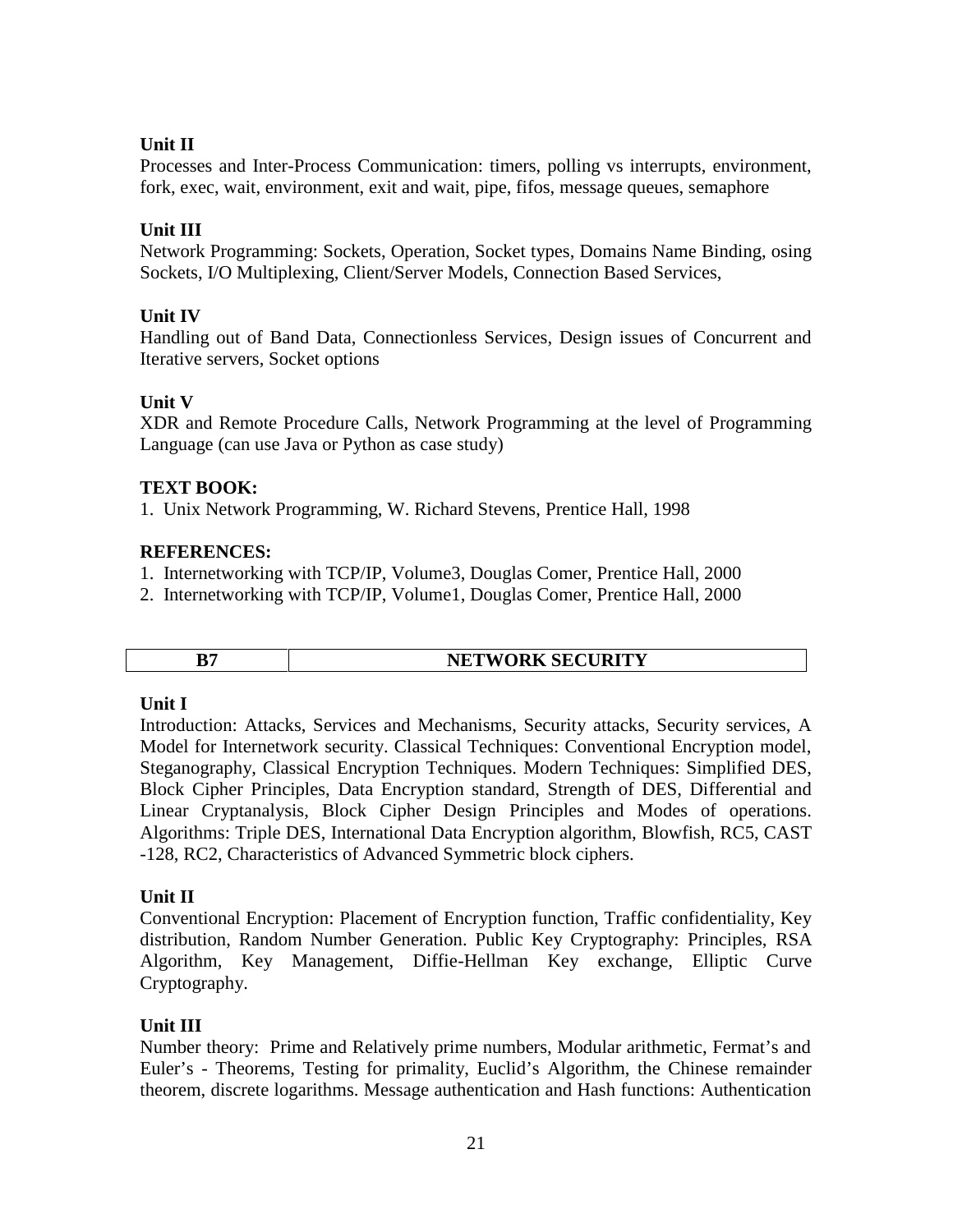# **Unit II**

Processes and Inter-Process Communication: timers, polling vs interrupts, environment, fork, exec, wait, environment, exit and wait, pipe, fifos, message queues, semaphore

# **Unit III**

Network Programming: Sockets, Operation, Socket types, Domains Name Binding, osing Sockets, I/O Multiplexing, Client/Server Models, Connection Based Services,

# **Unit IV**

Handling out of Band Data, Connectionless Services, Design issues of Concurrent and Iterative servers, Socket options

# **Unit V**

XDR and Remote Procedure Calls, Network Programming at the level of Programming Language (can use Java or Python as case study)

# **TEXT BOOK:**

1. Unix Network Programming, W. Richard Stevens, Prentice Hall, 1998

# **REFERENCES:**

- 1. Internetworking with TCP/IP, Volume3, Douglas Comer, Prentice Hall, 2000
- 2. Internetworking with TCP/IP, Volume1, Douglas Comer, Prentice Hall, 2000

| <b>NETWORK SECURITY</b> |
|-------------------------|

#### **Unit I**

Introduction: Attacks, Services and Mechanisms, Security attacks, Security services, A Model for Internetwork security. Classical Techniques: Conventional Encryption model, Steganography, Classical Encryption Techniques. Modern Techniques: Simplified DES, Block Cipher Principles, Data Encryption standard, Strength of DES, Differential and Linear Cryptanalysis, Block Cipher Design Principles and Modes of operations. Algorithms: Triple DES, International Data Encryption algorithm, Blowfish, RC5, CAST -128, RC2, Characteristics of Advanced Symmetric block ciphers.

# **Unit II**

Conventional Encryption: Placement of Encryption function, Traffic confidentiality, Key distribution, Random Number Generation. Public Key Cryptography: Principles, RSA Algorithm, Key Management, Diffie-Hellman Key exchange, Elliptic Curve Cryptography.

# **Unit III**

Number theory: Prime and Relatively prime numbers, Modular arithmetic, Fermat's and Euler's - Theorems, Testing for primality, Euclid's Algorithm, the Chinese remainder theorem, discrete logarithms. Message authentication and Hash functions: Authentication